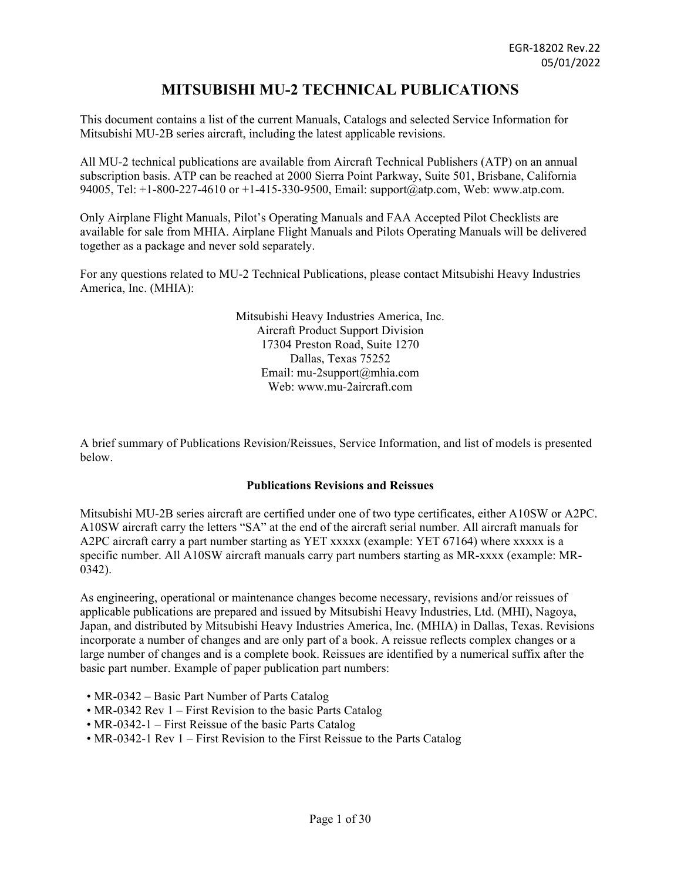# **MITSUBISHI MU-2 TECHNICAL PUBLICATIONS**

This document contains a list of the current Manuals, Catalogs and selected Service Information for Mitsubishi MU-2B series aircraft, including the latest applicable revisions.

All MU-2 technical publications are available from Aircraft Technical Publishers (ATP) on an annual subscription basis. ATP can be reached at 2000 Sierra Point Parkway, Suite 501, Brisbane, California 94005, Tel: +1-800-227-4610 or +1-415-330-9500, Email: support@atp.com, Web: www.atp.com.

Only Airplane Flight Manuals, Pilot's Operating Manuals and FAA Accepted Pilot Checklists are available for sale from MHIA. Airplane Flight Manuals and Pilots Operating Manuals will be delivered together as a package and never sold separately.

For any questions related to MU-2 Technical Publications, please contact Mitsubishi Heavy Industries America, Inc. (MHIA):

> Mitsubishi Heavy Industries America, Inc. Aircraft Product Support Division 17304 Preston Road, Suite 1270 Dallas, Texas 75252 Email: mu-2support@mhia.com Web: www.mu-2aircraft.com

A brief summary of Publications Revision/Reissues, Service Information, and list of models is presented below.

### **Publications Revisions and Reissues**

Mitsubishi MU-2B series aircraft are certified under one of two type certificates, either A10SW or A2PC. A10SW aircraft carry the letters "SA" at the end of the aircraft serial number. All aircraft manuals for A2PC aircraft carry a part number starting as YET xxxxx (example: YET 67164) where xxxxx is a specific number. All A10SW aircraft manuals carry part numbers starting as MR-xxxx (example: MR-0342).

As engineering, operational or maintenance changes become necessary, revisions and/or reissues of applicable publications are prepared and issued by Mitsubishi Heavy Industries, Ltd. (MHI), Nagoya, Japan, and distributed by Mitsubishi Heavy Industries America, Inc. (MHIA) in Dallas, Texas. Revisions incorporate a number of changes and are only part of a book. A reissue reflects complex changes or a large number of changes and is a complete book. Reissues are identified by a numerical suffix after the basic part number. Example of paper publication part numbers:

- MR-0342 Basic Part Number of Parts Catalog
- MR-0342 Rev 1 First Revision to the basic Parts Catalog
- MR-0342-1 First Reissue of the basic Parts Catalog
- MR-0342-1 Rev 1 First Revision to the First Reissue to the Parts Catalog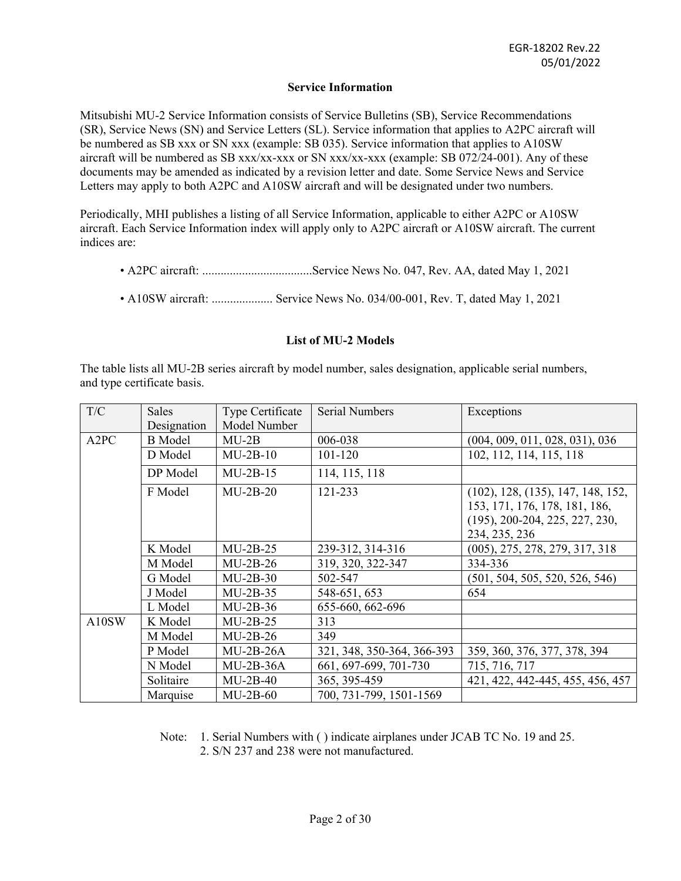#### **Service Information**

Mitsubishi MU-2 Service Information consists of Service Bulletins (SB), Service Recommendations (SR), Service News (SN) and Service Letters (SL). Service information that applies to A2PC aircraft will be numbered as SB xxx or SN xxx (example: SB 035). Service information that applies to A10SW aircraft will be numbered as SB xxx/xx-xxx or SN xxx/xx-xxx (example: SB 072/24-001). Any of these documents may be amended as indicated by a revision letter and date. Some Service News and Service Letters may apply to both A2PC and A10SW aircraft and will be designated under two numbers.

Periodically, MHI publishes a listing of all Service Information, applicable to either A2PC or A10SW aircraft. Each Service Information index will apply only to A2PC aircraft or A10SW aircraft. The current indices are:

- A2PC aircraft: ....................................Service News No. 047, Rev. AA, dated May 1, 2021
- A10SW aircraft: .................... Service News No. 034/00-001, Rev. T, dated May 1, 2021

### **List of MU-2 Models**

The table lists all MU-2B series aircraft by model number, sales designation, applicable serial numbers, and type certificate basis.

| T/C               | <b>Sales</b>   | Type Certificate | <b>Serial Numbers</b>      | Exceptions                                                                                                              |
|-------------------|----------------|------------------|----------------------------|-------------------------------------------------------------------------------------------------------------------------|
|                   | Designation    | Model Number     |                            |                                                                                                                         |
| A <sub>2</sub> PC | <b>B</b> Model | $MU-2B$          | 006-038                    | (004, 009, 011, 028, 031), 036                                                                                          |
|                   | D Model        | $MU-2B-10$       | 101-120                    | 102, 112, 114, 115, 118                                                                                                 |
|                   | DP Model       | $MU-2B-15$       | 114, 115, 118              |                                                                                                                         |
|                   | F Model        | $MU-2B-20$       | 121-233                    | (102), 128, (135), 147, 148, 152,<br>153, 171, 176, 178, 181, 186,<br>$(195), 200-204, 225, 227, 230,$<br>234, 235, 236 |
|                   | K Model        | $MU-2B-25$       | 239-312, 314-316           | $(005)$ , 275, 278, 279, 317, 318                                                                                       |
|                   | M Model        | $MU-2B-26$       | 319, 320, 322-347          | 334-336                                                                                                                 |
|                   | G Model        | $MU-2B-30$       | 502-547                    | (501, 504, 505, 520, 526, 546)                                                                                          |
|                   | J Model        | $MU-2B-35$       | 548-651, 653               | 654                                                                                                                     |
|                   | L Model        | $MU-2B-36$       | 655-660, 662-696           |                                                                                                                         |
| A10SW             | K Model        | $MU-2B-25$       | 313                        |                                                                                                                         |
|                   | M Model        | $MU-2B-26$       | 349                        |                                                                                                                         |
|                   | P Model        | $MU-2B-26A$      | 321, 348, 350-364, 366-393 | 359, 360, 376, 377, 378, 394                                                                                            |
|                   | N Model        | $MU-2B-36A$      | 661, 697-699, 701-730      | 715, 716, 717                                                                                                           |
|                   | Solitaire      | $MU-2B-40$       | 365, 395-459               | 421, 422, 442-445, 455, 456, 457                                                                                        |
|                   | Marquise       | $MU-2B-60$       | 700, 731-799, 1501-1569    |                                                                                                                         |

Note: 1. Serial Numbers with ( ) indicate airplanes under JCAB TC No. 19 and 25. 2. S/N 237 and 238 were not manufactured.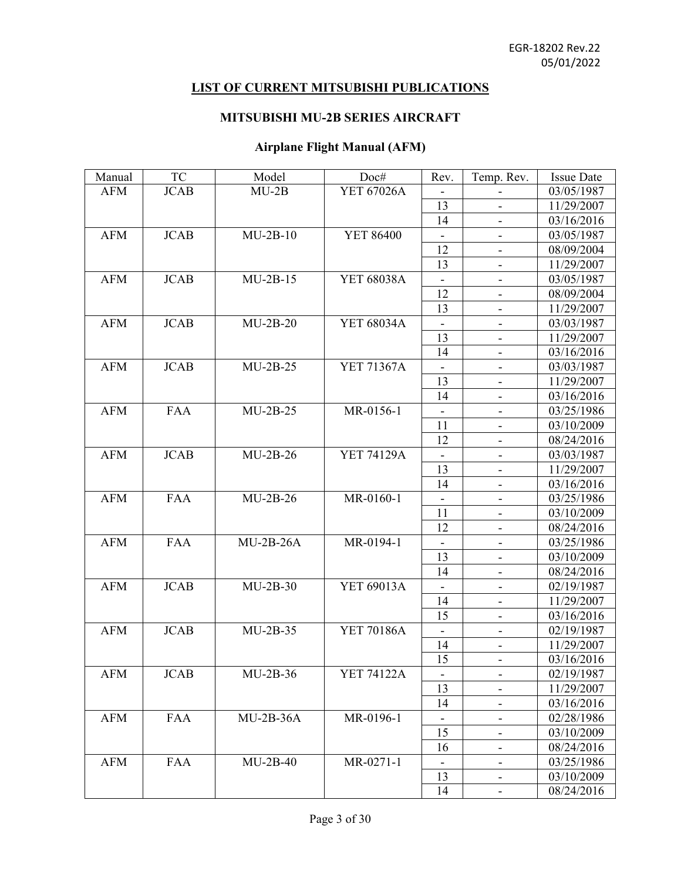## **LIST OF CURRENT MITSUBISHI PUBLICATIONS**

## **MITSUBISHI MU-2B SERIES AIRCRAFT**

## **Airplane Flight Manual (AFM)**

| Manual     | <b>TC</b>   | Model       | Doc#              | Rev.                     | Temp. Rev.                   | <b>Issue Date</b> |
|------------|-------------|-------------|-------------------|--------------------------|------------------------------|-------------------|
| <b>AFM</b> | <b>JCAB</b> | $MU-2B$     | YET 67026A        |                          |                              | 03/05/1987        |
|            |             |             |                   | 13                       |                              | 11/29/2007        |
|            |             |             |                   | 14                       |                              | 03/16/2016        |
| <b>AFM</b> | <b>JCAB</b> | $MU-2B-10$  | <b>YET 86400</b>  |                          | $\qquad \qquad \blacksquare$ | 03/05/1987        |
|            |             |             |                   | 12                       | -                            | 08/09/2004        |
|            |             |             |                   | 13                       | $\overline{\phantom{a}}$     | 11/29/2007        |
| <b>AFM</b> | <b>JCAB</b> | $MU-2B-15$  | YET 68038A        |                          |                              | 03/05/1987        |
|            |             |             |                   | 12                       | $\overline{\phantom{a}}$     | 08/09/2004        |
|            |             |             |                   | 13                       | $\overline{\phantom{0}}$     | 11/29/2007        |
| <b>AFM</b> | <b>JCAB</b> | $MU-2B-20$  | YET 68034A        |                          | $\overline{\phantom{0}}$     | 03/03/1987        |
|            |             |             |                   | 13                       | $\overline{\phantom{a}}$     | 11/29/2007        |
|            |             |             |                   | 14                       |                              | 03/16/2016        |
| <b>AFM</b> | <b>JCAB</b> | $MU-2B-25$  | YET 71367A        |                          | $\blacksquare$               | 03/03/1987        |
|            |             |             |                   | 13                       | -                            | 11/29/2007        |
|            |             |             |                   | 14                       | $\blacksquare$               | 03/16/2016        |
| <b>AFM</b> | <b>FAA</b>  | $MU-2B-25$  | MR-0156-1         | $\blacksquare$           | $\overline{\phantom{a}}$     | 03/25/1986        |
|            |             |             |                   | 11                       |                              | 03/10/2009        |
|            |             |             |                   | 12                       |                              | 08/24/2016        |
| <b>AFM</b> | <b>JCAB</b> | $MU-2B-26$  | <b>YET 74129A</b> |                          | $\qquad \qquad \blacksquare$ | 03/03/1987        |
|            |             |             |                   | 13                       | $\overline{\phantom{0}}$     | 11/29/2007        |
|            |             |             |                   | 14                       | $\overline{\phantom{a}}$     | 03/16/2016        |
| <b>AFM</b> | <b>FAA</b>  | $MU-2B-26$  | MR-0160-1         |                          |                              | 03/25/1986        |
|            |             |             |                   | 11                       |                              | 03/10/2009        |
|            |             |             |                   | 12                       | $\overline{\phantom{a}}$     | 08/24/2016        |
| <b>AFM</b> | <b>FAA</b>  | $MU-2B-26A$ | MR-0194-1         |                          | $\qquad \qquad \blacksquare$ | 03/25/1986        |
|            |             |             |                   | 13                       | $\overline{\phantom{a}}$     | 03/10/2009        |
|            |             |             |                   | 14                       | $\overline{\phantom{0}}$     | 08/24/2016        |
| <b>AFM</b> | <b>JCAB</b> | $MU-2B-30$  | YET 69013A        |                          |                              | 02/19/1987        |
|            |             |             |                   | 14                       | $\qquad \qquad \blacksquare$ | 11/29/2007        |
|            |             |             |                   | 15                       | $\overline{\phantom{0}}$     | 03/16/2016        |
| <b>AFM</b> | <b>JCAB</b> | $MU-2B-35$  | YET 70186A        | $\overline{\phantom{a}}$ | $\blacksquare$               | 02/19/1987        |
|            |             |             |                   | 14                       | -                            | 11/29/2007        |
|            |             |             |                   | 15                       |                              | 03/16/2016        |
| <b>AFM</b> | <b>JCAB</b> | $MU-2B-36$  | YET 74122A        |                          | $\overline{\phantom{a}}$     | 02/19/1987        |
|            |             |             |                   | 13                       |                              | 11/29/2007        |
|            |             |             |                   | 14                       | $\qquad \qquad \blacksquare$ | 03/16/2016        |
| <b>AFM</b> | <b>FAA</b>  | $MU-2B-36A$ | MR-0196-1         |                          | $\overline{\phantom{a}}$     | 02/28/1986        |
|            |             |             |                   | 15                       |                              | 03/10/2009        |
|            |             |             |                   | 16                       |                              | 08/24/2016        |
| <b>AFM</b> | <b>FAA</b>  | $MU-2B-40$  | MR-0271-1         |                          | $\overline{\phantom{a}}$     | 03/25/1986        |
|            |             |             |                   | 13                       | -                            | 03/10/2009        |
|            |             |             |                   | 14                       | $\overline{\phantom{a}}$     | 08/24/2016        |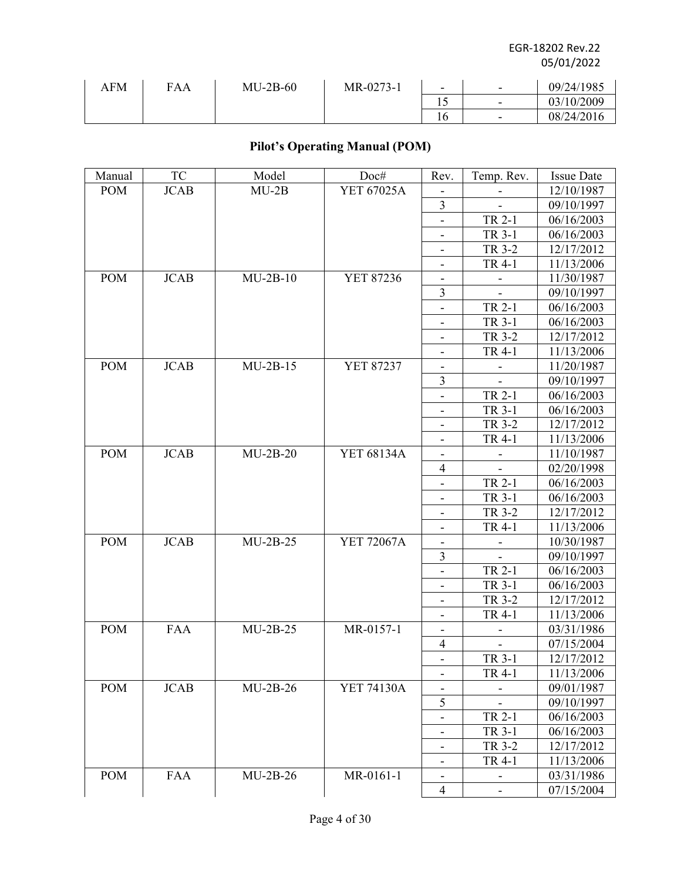| AFM | FAA | $MU-2B-60$ | MR-0273-1 | $\overline{\phantom{0}}$ | $\overline{\phantom{0}}$ | 09/24/1985 |
|-----|-----|------------|-----------|--------------------------|--------------------------|------------|
|     |     |            |           |                          | -                        | 03/10/2009 |
|     |     |            |           | 1 U                      | $\overline{\phantom{a}}$ | 08/24/2016 |

## **Pilot's Operating Manual (POM)**

| Manual                      | TC          | Model      | Doc#              | Rev.                         | Temp. Rev.                   | <b>Issue Date</b> |
|-----------------------------|-------------|------------|-------------------|------------------------------|------------------------------|-------------------|
| <b>POM</b>                  | <b>JCAB</b> | $MU-2B$    | YET 67025A        |                              |                              | 12/10/1987        |
|                             |             |            |                   | $\overline{\mathbf{3}}$      |                              | 09/10/1997        |
|                             |             |            |                   |                              | TR 2-1                       | 06/16/2003        |
|                             |             |            |                   |                              | TR 3-1                       | 06/16/2003        |
|                             |             |            |                   | $\overline{\phantom{a}}$     | TR 3-2                       | 12/17/2012        |
|                             |             |            |                   | $\overline{\phantom{a}}$     | TR 4-1                       | 11/13/2006        |
| POM                         | <b>JCAB</b> | $MU-2B-10$ | YET 87236         |                              |                              | 11/30/1987        |
|                             |             |            |                   | 3                            |                              | 09/10/1997        |
|                             |             |            |                   |                              | TR 2-1                       | 06/16/2003        |
|                             |             |            |                   | $\qquad \qquad \blacksquare$ | TR 3-1                       | 06/16/2003        |
|                             |             |            |                   | -                            | TR 3-2                       | 12/17/2012        |
|                             |             |            |                   |                              | TR 4-1                       | 11/13/2006        |
| <b>POM</b>                  | <b>JCAB</b> | $MU-2B-15$ | <b>YET 87237</b>  | $\blacksquare$               |                              | 11/20/1987        |
|                             |             |            |                   | 3                            |                              | 09/10/1997        |
|                             |             |            |                   | $\qquad \qquad \blacksquare$ | TR 2-1                       | 06/16/2003        |
|                             |             |            |                   | $\overline{\phantom{a}}$     | TR 3-1                       | 06/16/2003        |
|                             |             |            |                   |                              | TR 3-2                       | 12/17/2012        |
|                             |             |            |                   | -                            | TR 4-1                       | 11/13/2006        |
| <b>POM</b>                  | <b>JCAB</b> | $MU-2B-20$ | YET 68134A        | $\qquad \qquad \blacksquare$ |                              | 11/10/1987        |
|                             |             |            |                   | $\overline{4}$               |                              | 02/20/1998        |
|                             |             |            |                   | $\overline{\phantom{a}}$     | TR 2-1                       | 06/16/2003        |
|                             |             |            |                   |                              | TR 3-1                       | 06/16/2003        |
|                             |             |            |                   |                              | TR 3-2                       | 12/17/2012        |
|                             |             |            |                   | $\overline{\phantom{a}}$     | TR 4-1                       | 11/13/2006        |
| <b>POM</b>                  | <b>JCAB</b> | $MU-2B-25$ | <b>YET 72067A</b> | $\overline{\phantom{a}}$     |                              | 10/30/1987        |
|                             |             |            |                   | 3                            |                              | 09/10/1997        |
|                             |             |            |                   | $\overline{\phantom{a}}$     | TR 2-1                       | 06/16/2003        |
|                             |             |            |                   |                              | TR 3-1                       | 06/16/2003        |
|                             |             |            |                   | $\overline{\phantom{a}}$     | TR 3-2                       | 12/17/2012        |
|                             |             |            |                   |                              | TR 4-1                       | 11/13/2006        |
| POM                         | <b>FAA</b>  | $MU-2B-25$ | MR-0157-1         | ۰                            | $\overline{\phantom{a}}$     | 03/31/1986        |
|                             |             |            |                   | 4                            |                              | 07/15/2004        |
|                             |             |            |                   |                              | TR 3-1                       | 12/17/2012        |
|                             |             |            |                   | $\overline{\phantom{a}}$     | TR 4-1                       | 11/13/2006        |
| $\boldsymbol{\mathsf{POM}}$ | <b>JCAB</b> | $MU-2B-26$ | YET 74130A        |                              |                              | 09/01/1987        |
|                             |             |            |                   | 5                            |                              | 09/10/1997        |
|                             |             |            |                   | -                            | TR 2-1                       | 06/16/2003        |
|                             |             |            |                   | $\overline{\phantom{m}}$     | TR 3-1                       | 06/16/2003        |
|                             |             |            |                   | -                            | TR 3-2                       | 12/17/2012        |
|                             |             |            |                   | -                            | TR 4-1                       | 11/13/2006        |
| <b>POM</b>                  | <b>FAA</b>  | $MU-2B-26$ | MR-0161-1         | -                            | $\qquad \qquad \blacksquare$ | 03/31/1986        |
|                             |             |            |                   | $\overline{4}$               | $\overline{\phantom{a}}$     | 07/15/2004        |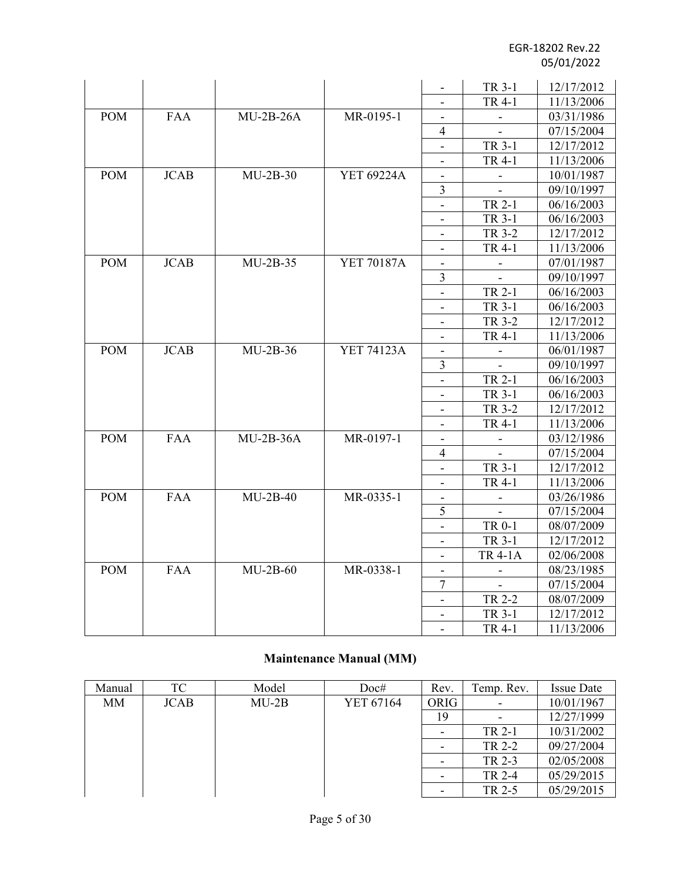|            |             |             |                   |                              | TR 3-1                   | 12/17/2012 |
|------------|-------------|-------------|-------------------|------------------------------|--------------------------|------------|
|            |             |             |                   | $\overline{\phantom{a}}$     | TR 4-1                   | 11/13/2006 |
| <b>POM</b> | <b>FAA</b>  | $MU-2B-26A$ | MR-0195-1         | $\overline{\phantom{a}}$     | $\blacksquare$           | 03/31/1986 |
|            |             |             |                   | $\overline{4}$               |                          | 07/15/2004 |
|            |             |             |                   | $\overline{\phantom{a}}$     | TR 3-1                   | 12/17/2012 |
|            |             |             |                   | $\overline{\phantom{a}}$     | TR 4-1                   | 11/13/2006 |
| <b>POM</b> | <b>JCAB</b> | $MU-2B-30$  | <b>YET 69224A</b> | $\overline{\phantom{a}}$     | $\blacksquare$           | 10/01/1987 |
|            |             |             |                   | 3                            | $\blacksquare$           | 09/10/1997 |
|            |             |             |                   | $\qquad \qquad \blacksquare$ | TR 2-1                   | 06/16/2003 |
|            |             |             |                   |                              | TR 3-1                   | 06/16/2003 |
|            |             |             |                   |                              | TR 3-2                   | 12/17/2012 |
|            |             |             |                   | $\frac{1}{2}$                | TR 4-1                   | 11/13/2006 |
| <b>POM</b> | <b>JCAB</b> | $MU-2B-35$  | YET 70187A        |                              | $\blacksquare$           | 07/01/1987 |
|            |             |             |                   | 3                            | $\overline{\phantom{a}}$ | 09/10/1997 |
|            |             |             |                   |                              | TR 2-1                   | 06/16/2003 |
|            |             |             |                   |                              | TR 3-1                   | 06/16/2003 |
|            |             |             |                   |                              | TR 3-2                   | 12/17/2012 |
|            |             |             |                   |                              | TR 4-1                   | 11/13/2006 |
| <b>POM</b> | <b>JCAB</b> | $MU-2B-36$  | <b>YET 74123A</b> |                              |                          | 06/01/1987 |
|            |             |             |                   | 3                            |                          | 09/10/1997 |
|            |             |             |                   |                              | TR 2-1                   | 06/16/2003 |
|            |             |             |                   |                              | TR 3-1                   | 06/16/2003 |
|            |             |             |                   | $\frac{1}{2}$                | TR 3-2                   | 12/17/2012 |
|            |             |             |                   | $\blacksquare$               | TR 4-1                   | 11/13/2006 |
| <b>POM</b> | <b>FAA</b>  | $MU-2B-36A$ | MR-0197-1         | $\blacksquare$               | $\overline{\phantom{a}}$ | 03/12/1986 |
|            |             |             |                   | $\overline{4}$               | $\blacksquare$           | 07/15/2004 |
|            |             |             |                   | $\overline{\phantom{a}}$     | TR 3-1                   | 12/17/2012 |
|            |             |             |                   | $\overline{\phantom{a}}$     | TR 4-1                   | 11/13/2006 |
| <b>POM</b> | <b>FAA</b>  | $MU-2B-40$  | MR-0335-1         | $\overline{\phantom{a}}$     | $\blacksquare$           | 03/26/1986 |
|            |             |             |                   | 5                            |                          | 07/15/2004 |
|            |             |             |                   | $\qquad \qquad \blacksquare$ | TR 0-1                   | 08/07/2009 |
|            |             |             |                   | $\overline{\phantom{a}}$     | TR 3-1                   | 12/17/2012 |
|            |             |             |                   |                              | <b>TR 4-1A</b>           | 02/06/2008 |
| <b>POM</b> | <b>FAA</b>  | $MU-2B-60$  | MR-0338-1         |                              | $\overline{\phantom{a}}$ | 08/23/1985 |
|            |             |             |                   | 7                            | $\overline{\phantom{a}}$ | 07/15/2004 |
|            |             |             |                   | $\overline{\phantom{a}}$     | TR 2-2                   | 08/07/2009 |
|            |             |             |                   |                              | TR 3-1                   | 12/17/2012 |
|            |             |             |                   |                              | TR 4-1                   | 11/13/2006 |

# **Maintenance Manual (MM)**

| Manual | TC          | Model   | Doc#      | Rev.                     | Temp. Rev. | <b>Issue Date</b> |
|--------|-------------|---------|-----------|--------------------------|------------|-------------------|
| МM     | <b>JCAB</b> | $MU-2B$ | YET 67164 | ORIG                     |            | 10/01/1967        |
|        |             |         |           | 19                       |            | 12/27/1999        |
|        |             |         |           | $\overline{\phantom{a}}$ | TR 2-1     | 10/31/2002        |
|        |             |         |           | $\overline{\phantom{a}}$ | TR 2-2     | 09/27/2004        |
|        |             |         |           | -                        | TR 2-3     | 02/05/2008        |
|        |             |         |           |                          | TR 2-4     | 05/29/2015        |
|        |             |         |           | $\overline{\phantom{a}}$ | TR 2-5     | 05/29/2015        |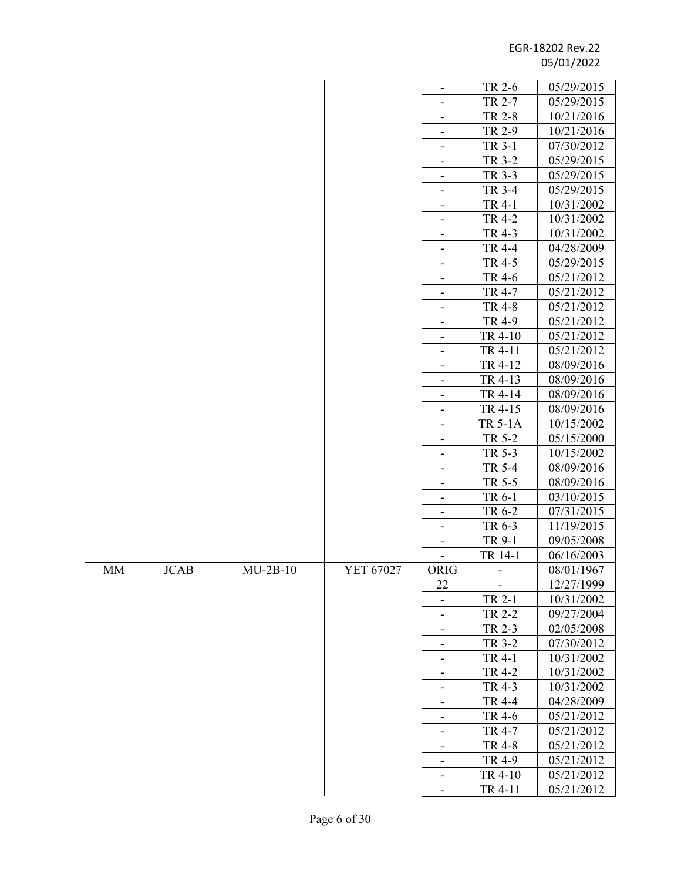|    |      |            |           |                              | TR 2-6         | 05/29/2015 |
|----|------|------------|-----------|------------------------------|----------------|------------|
|    |      |            |           | $\overline{\phantom{a}}$     | TR 2-7         | 05/29/2015 |
|    |      |            |           | $\overline{\phantom{a}}$     | TR 2-8         | 10/21/2016 |
|    |      |            |           |                              | TR 2-9         | 10/21/2016 |
|    |      |            |           | $\overline{\phantom{a}}$     | TR 3-1         | 07/30/2012 |
|    |      |            |           |                              | TR 3-2         | 05/29/2015 |
|    |      |            |           | -                            | TR 3-3         | 05/29/2015 |
|    |      |            |           | $\overline{\phantom{a}}$     | TR 3-4         | 05/29/2015 |
|    |      |            |           |                              | TR 4-1         | 10/31/2002 |
|    |      |            |           | $\overline{\phantom{a}}$     | <b>TR 4-2</b>  | 10/31/2002 |
|    |      |            |           | -                            | TR 4-3         | 10/31/2002 |
|    |      |            |           | $\overline{\phantom{a}}$     | TR 4-4         | 04/28/2009 |
|    |      |            |           | $\overline{\phantom{a}}$     | TR 4-5         | 05/29/2015 |
|    |      |            |           |                              | TR 4-6         | 05/21/2012 |
|    |      |            |           | $\overline{\phantom{a}}$     | TR 4-7         | 05/21/2012 |
|    |      |            |           | $\overline{\phantom{a}}$     | <b>TR 4-8</b>  | 05/21/2012 |
|    |      |            |           |                              | TR 4-9         | 05/21/2012 |
|    |      |            |           | $\overline{\phantom{a}}$     | TR 4-10        | 05/21/2012 |
|    |      |            |           | $\overline{\phantom{a}}$     | TR 4-11        | 05/21/2012 |
|    |      |            |           | $\overline{\phantom{a}}$     | TR 4-12        | 08/09/2016 |
|    |      |            |           | -                            | TR 4-13        | 08/09/2016 |
|    |      |            |           | $\qquad \qquad \blacksquare$ | TR 4-14        | 08/09/2016 |
|    |      |            |           | $\overline{\phantom{a}}$     | TR 4-15        | 08/09/2016 |
|    |      |            |           | $\qquad \qquad \blacksquare$ | <b>TR 5-1A</b> | 10/15/2002 |
|    |      |            |           |                              | TR 5-2         | 05/15/2000 |
|    |      |            |           | $\overline{\phantom{a}}$     | TR 5-3         | 10/15/2002 |
|    |      |            |           |                              | TR 5-4         | 08/09/2016 |
|    |      |            |           | -                            | TR 5-5         | 08/09/2016 |
|    |      |            |           | $\overline{\phantom{a}}$     | TR 6-1         | 03/10/2015 |
|    |      |            |           | $\overline{\phantom{a}}$     | TR 6-2         | 07/31/2015 |
|    |      |            |           | $\overline{\phantom{a}}$     | TR 6-3         | 11/19/2015 |
|    |      |            |           |                              | TR 9-1         | 09/05/2008 |
|    |      |            |           |                              | TR 14-1        | 06/16/2003 |
| MM | JCAB | $MU-2B-10$ | YET 67027 | <b>ORIG</b>                  |                | 08/01/1967 |
|    |      |            |           | 22                           |                | 12/27/1999 |
|    |      |            |           |                              | TR 2-1         | 10/31/2002 |
|    |      |            |           |                              | TR 2-2         | 09/27/2004 |
|    |      |            |           | $\overline{\phantom{a}}$     | TR 2-3         | 02/05/2008 |
|    |      |            |           | $\overline{\phantom{a}}$     | TR 3-2         | 07/30/2012 |
|    |      |            |           |                              | TR 4-1         | 10/31/2002 |
|    |      |            |           | $\overline{\phantom{a}}$     | TR 4-2         | 10/31/2002 |
|    |      |            |           | $\overline{\phantom{a}}$     | TR 4-3         | 10/31/2002 |
|    |      |            |           |                              | TR 4-4         | 04/28/2009 |
|    |      |            |           | $\overline{\phantom{a}}$     | TR 4-6         | 05/21/2012 |
|    |      |            |           | $\overline{\phantom{a}}$     | TR 4-7         | 05/21/2012 |
|    |      |            |           |                              | TR 4-8         | 05/21/2012 |
|    |      |            |           | $\overline{\phantom{a}}$     | TR 4-9         | 05/21/2012 |
|    |      |            |           | $\blacksquare$               | TR 4-10        | 05/21/2012 |
|    |      |            |           | $\overline{\phantom{a}}$     | TR 4-11        | 05/21/2012 |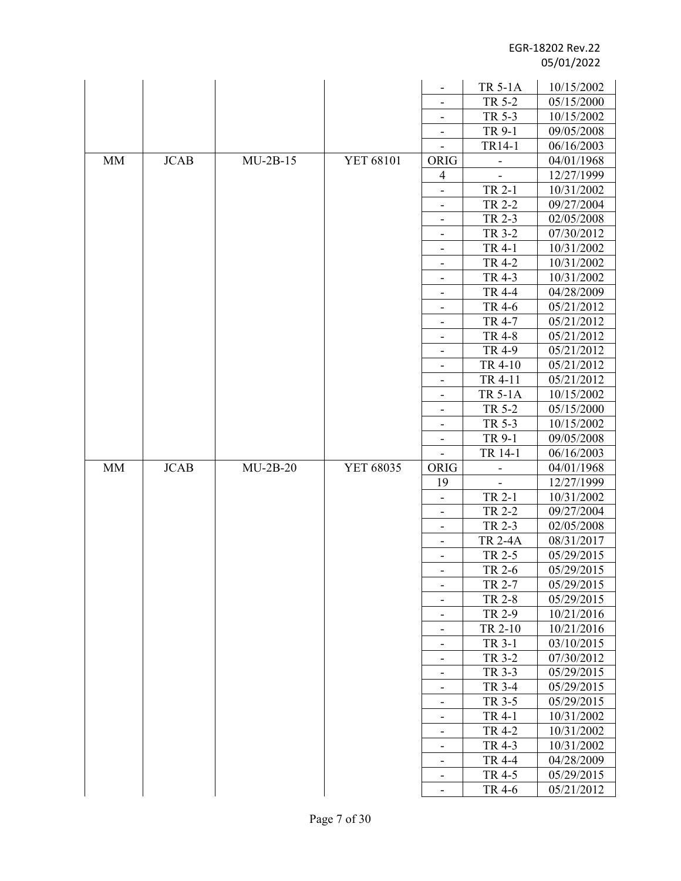|           |             |            |           |                              | <b>TR 5-1A</b> | 10/15/2002 |
|-----------|-------------|------------|-----------|------------------------------|----------------|------------|
|           |             |            |           |                              | TR 5-2         | 05/15/2000 |
|           |             |            |           | -                            | TR 5-3         | 10/15/2002 |
|           |             |            |           | -                            | TR 9-1         | 09/05/2008 |
|           |             |            |           | $\overline{\phantom{0}}$     | TR14-1         | 06/16/2003 |
| <b>MM</b> | <b>JCAB</b> | $MU-2B-15$ | YET 68101 | ORIG                         |                | 04/01/1968 |
|           |             |            |           | 4                            |                | 12/27/1999 |
|           |             |            |           | $\overline{\phantom{0}}$     | TR 2-1         | 10/31/2002 |
|           |             |            |           | -                            | TR 2-2         | 09/27/2004 |
|           |             |            |           | $\overline{\phantom{a}}$     | TR 2-3         | 02/05/2008 |
|           |             |            |           |                              | TR 3-2         | 07/30/2012 |
|           |             |            |           | $\overline{\phantom{a}}$     | TR 4-1         | 10/31/2002 |
|           |             |            |           | $\overline{\phantom{a}}$     | TR 4-2         | 10/31/2002 |
|           |             |            |           | -                            | TR 4-3         | 10/31/2002 |
|           |             |            |           | -                            | TR 4-4         | 04/28/2009 |
|           |             |            |           | $\overline{\phantom{0}}$     | TR 4-6         | 05/21/2012 |
|           |             |            |           | -                            | TR 4-7         | 05/21/2012 |
|           |             |            |           | -                            | <b>TR 4-8</b>  | 05/21/2012 |
|           |             |            |           |                              | TR 4-9         | 05/21/2012 |
|           |             |            |           | -                            | TR 4-10        | 05/21/2012 |
|           |             |            |           | $\overline{\phantom{0}}$     | TR 4-11        | 05/21/2012 |
|           |             |            |           | $\overline{\phantom{a}}$     | <b>TR 5-1A</b> | 10/15/2002 |
|           |             |            |           | -                            | TR 5-2         | 05/15/2000 |
|           |             |            |           | $\overline{\phantom{a}}$     | TR 5-3         | 10/15/2002 |
|           |             |            |           | $\overline{\phantom{a}}$     | TR 9-1         | 09/05/2008 |
|           |             |            |           | $\overline{\phantom{a}}$     | TR 14-1        | 06/16/2003 |
| <b>MM</b> | <b>JCAB</b> | $MU-2B-20$ | YET 68035 | ORIG                         |                | 04/01/1968 |
|           |             |            |           | 19                           |                | 12/27/1999 |
|           |             |            |           | -                            | TR 2-1         | 10/31/2002 |
|           |             |            |           | $\overline{\phantom{a}}$     | TR 2-2         | 09/27/2004 |
|           |             |            |           | $\overline{\phantom{a}}$     | TR 2-3         | 02/05/2008 |
|           |             |            |           | ÷,                           | <b>TR 2-4A</b> | 08/31/2017 |
|           |             |            |           | $\overline{\phantom{a}}$     | TR 2-5         | 05/29/2015 |
|           |             |            |           |                              | TR 2-6         | 05/29/2015 |
|           |             |            |           | $\overline{\phantom{a}}$     | TR 2-7         | 05/29/2015 |
|           |             |            |           | -                            | <b>TR 2-8</b>  | 05/29/2015 |
|           |             |            |           | $\overline{\phantom{0}}$     | TR 2-9         | 10/21/2016 |
|           |             |            |           | $\qquad \qquad \blacksquare$ | TR 2-10        | 10/21/2016 |
|           |             |            |           | $\overline{\phantom{a}}$     | TR 3-1         | 03/10/2015 |
|           |             |            |           | $\qquad \qquad \blacksquare$ | TR 3-2         | 07/30/2012 |
|           |             |            |           | $\overline{\phantom{a}}$     | TR 3-3         | 05/29/2015 |
|           |             |            |           | -                            | TR 3-4         | 05/29/2015 |
|           |             |            |           | $\overline{\phantom{a}}$     | TR 3-5         | 05/29/2015 |
|           |             |            |           | -                            | TR 4-1         | 10/31/2002 |
|           |             |            |           | $\overline{\phantom{a}}$     | TR 4-2         | 10/31/2002 |
|           |             |            |           | $\overline{\phantom{a}}$     | TR 4-3         | 10/31/2002 |
|           |             |            |           | -                            | TR 4-4         | 04/28/2009 |
|           |             |            |           | -                            | TR 4-5         | 05/29/2015 |
|           |             |            |           | $\qquad \qquad \blacksquare$ | TR 4-6         | 05/21/2012 |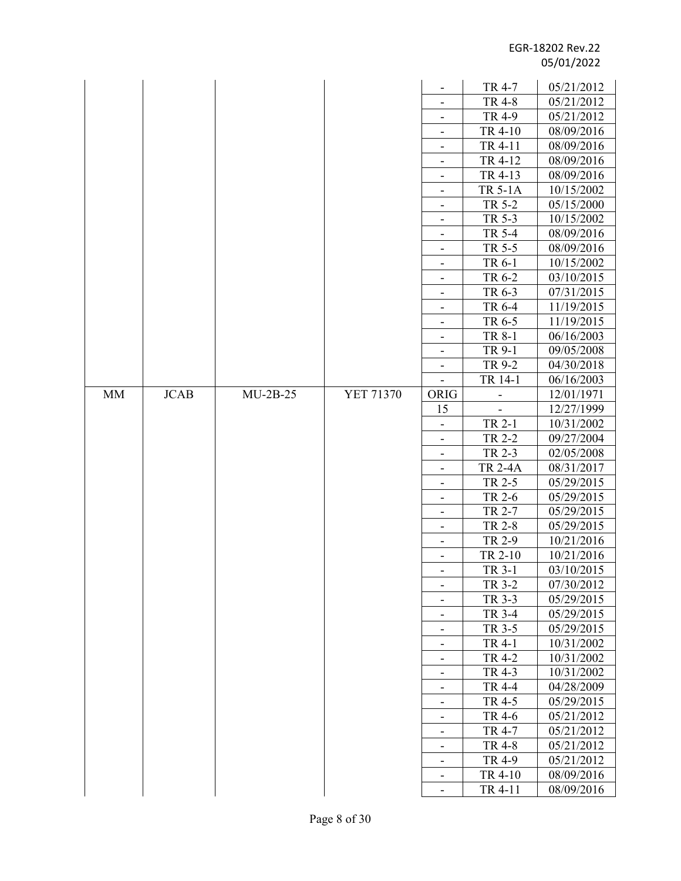|           |             |            |                  |                              | TR 4-7         | 05/21/2012 |
|-----------|-------------|------------|------------------|------------------------------|----------------|------------|
|           |             |            |                  |                              | <b>TR 4-8</b>  | 05/21/2012 |
|           |             |            |                  |                              | TR 4-9         | 05/21/2012 |
|           |             |            |                  | $\qquad \qquad \blacksquare$ | TR 4-10        | 08/09/2016 |
|           |             |            |                  |                              | TR 4-11        | 08/09/2016 |
|           |             |            |                  |                              | TR 4-12        | 08/09/2016 |
|           |             |            |                  |                              | TR 4-13        | 08/09/2016 |
|           |             |            |                  | $\overline{\phantom{a}}$     | <b>TR 5-1A</b> | 10/15/2002 |
|           |             |            |                  | $\overline{\phantom{a}}$     | TR 5-2         | 05/15/2000 |
|           |             |            |                  |                              | TR 5-3         | 10/15/2002 |
|           |             |            |                  |                              | TR 5-4         | 08/09/2016 |
|           |             |            |                  | $\overline{\phantom{a}}$     | TR 5-5         | 08/09/2016 |
|           |             |            |                  | $\overline{\phantom{a}}$     | TR 6-1         | 10/15/2002 |
|           |             |            |                  |                              | TR 6-2         | 03/10/2015 |
|           |             |            |                  | -<br>-                       | TR 6-3         | 07/31/2015 |
|           |             |            |                  |                              | TR 6-4         | 11/19/2015 |
|           |             |            |                  | $\overline{\phantom{m}}$     | TR 6-5         | 11/19/2015 |
|           |             |            |                  |                              | TR 8-1         | 06/16/2003 |
|           |             |            |                  | -                            | TR 9-1         | 09/05/2008 |
|           |             |            |                  | -                            | TR 9-2         | 04/30/2018 |
|           |             |            |                  |                              | TR 14-1        | 06/16/2003 |
| <b>MM</b> | <b>JCAB</b> | $MU-2B-25$ | <b>YET 71370</b> | ORIG                         |                | 12/01/1971 |
|           |             |            |                  | 15                           |                | 12/27/1999 |
|           |             |            |                  | -                            | TR 2-1         | 10/31/2002 |
|           |             |            |                  | $\overline{\phantom{a}}$     | TR 2-2         | 09/27/2004 |
|           |             |            |                  | $\overline{\phantom{a}}$     | TR 2-3         | 02/05/2008 |
|           |             |            |                  |                              | <b>TR 2-4A</b> | 08/31/2017 |
|           |             |            |                  | $\overline{\phantom{a}}$     | TR 2-5         | 05/29/2015 |
|           |             |            |                  |                              | TR 2-6         | 05/29/2015 |
|           |             |            |                  | $\overline{\phantom{a}}$     | TR 2-7         | 05/29/2015 |
|           |             |            |                  | $\overline{\phantom{a}}$     | TR 2-8         | 05/29/2015 |
|           |             |            |                  |                              | TR 2-9         | 10/21/2016 |
|           |             |            |                  | ۰                            | TR 2-10        | 10/21/2016 |
|           |             |            |                  |                              | TR 3-1         | 03/10/2015 |
|           |             |            |                  | $\overline{\phantom{a}}$     | TR 3-2         | 07/30/2012 |
|           |             |            |                  |                              | TR 3-3         | 05/29/2015 |
|           |             |            |                  |                              | TR 3-4         | 05/29/2015 |
|           |             |            |                  | ۰                            | TR 3-5         | 05/29/2015 |
|           |             |            |                  | $\overline{\phantom{m}}$     | TR 4-1         | 10/31/2002 |
|           |             |            |                  | $\qquad \qquad \blacksquare$ | TR 4-2         | 10/31/2002 |
|           |             |            |                  | $\qquad \qquad \blacksquare$ | TR 4-3         | 10/31/2002 |
|           |             |            |                  |                              | <b>TR 4-4</b>  | 04/28/2009 |
|           |             |            |                  | $\overline{\phantom{a}}$     | TR 4-5         | 05/29/2015 |
|           |             |            |                  |                              | TR 4-6         | 05/21/2012 |
|           |             |            |                  | -                            | TR 4-7         | 05/21/2012 |
|           |             |            |                  | -                            | TR 4-8         | 05/21/2012 |
|           |             |            |                  | $\qquad \qquad \blacksquare$ | TR 4-9         | 05/21/2012 |
|           |             |            |                  | -                            | TR 4-10        | 08/09/2016 |
|           |             |            |                  | $\overline{\phantom{0}}$     | TR 4-11        | 08/09/2016 |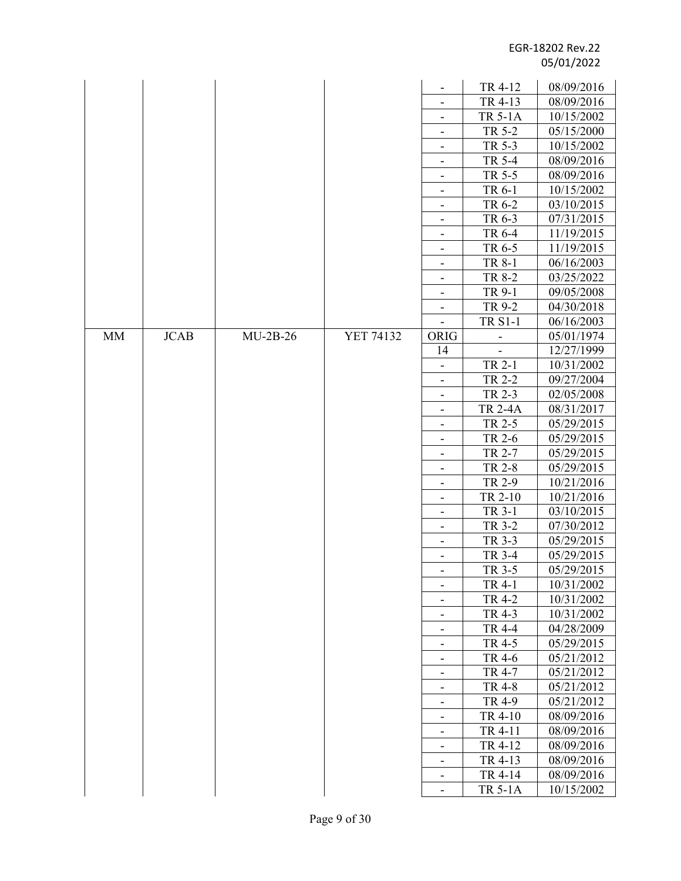|             |             |            |                  |                                                      | TR 4-12          | 08/09/2016               |
|-------------|-------------|------------|------------------|------------------------------------------------------|------------------|--------------------------|
|             |             |            |                  |                                                      | TR 4-13          | 08/09/2016               |
|             |             |            |                  | $\overline{\phantom{a}}$                             | <b>TR 5-1A</b>   | 10/15/2002               |
|             |             |            |                  | $\overline{\phantom{a}}$                             | TR 5-2           | 05/15/2000               |
|             |             |            |                  |                                                      | TR 5-3           | 10/15/2002               |
|             |             |            |                  | $\overline{\phantom{a}}$                             | TR 5-4           | 08/09/2016               |
|             |             |            |                  |                                                      | TR 5-5           | 08/09/2016               |
|             |             |            |                  | $\overline{\phantom{a}}$                             | TR 6-1           | 10/15/2002               |
|             |             |            |                  | $\overline{\phantom{a}}$                             | TR 6-2           | 03/10/2015               |
|             |             |            |                  |                                                      | TR 6-3           | 07/31/2015               |
|             |             |            |                  | $\overline{\phantom{a}}$                             | TR 6-4           | 11/19/2015               |
|             |             |            |                  | $\overline{\phantom{a}}$                             | TR 6-5           | 11/19/2015               |
|             |             |            |                  | $\overline{\phantom{a}}$                             | TR 8-1           | 06/16/2003               |
|             |             |            |                  | $\overline{\phantom{a}}$                             | TR 8-2           | 03/25/2022               |
|             |             |            |                  | $\overline{\phantom{a}}$                             | TR 9-1           | 09/05/2008               |
|             |             |            |                  | $\overline{\phantom{a}}$                             | TR 9-2           | 04/30/2018               |
|             |             |            |                  |                                                      | <b>TR S1-1</b>   | 06/16/2003               |
| $\text{MM}$ | <b>JCAB</b> | $MU-2B-26$ | <b>YET 74132</b> | ORIG                                                 |                  | 05/01/1974               |
|             |             |            |                  | 14                                                   |                  | 12/27/1999               |
|             |             |            |                  |                                                      | TR 2-1           | 10/31/2002               |
|             |             |            |                  | $\overline{\phantom{a}}$                             | TR 2-2           | 09/27/2004               |
|             |             |            |                  | $\overline{\phantom{a}}$                             | TR 2-3           | 02/05/2008               |
|             |             |            |                  |                                                      | <b>TR 2-4A</b>   | 08/31/2017               |
|             |             |            |                  | -                                                    | TR 2-5           | 05/29/2015               |
|             |             |            |                  | $\overline{\phantom{a}}$                             | TR 2-6           | 05/29/2015               |
|             |             |            |                  |                                                      | TR 2-7           | 05/29/2015               |
|             |             |            |                  | $\overline{\phantom{a}}$                             | <b>TR 2-8</b>    | 05/29/2015               |
|             |             |            |                  |                                                      | TR 2-9           | 10/21/2016               |
|             |             |            |                  | -                                                    | TR 2-10          | 10/21/2016               |
|             |             |            |                  | $\overline{\phantom{a}}$                             | TR 3-1           | 03/10/2015               |
|             |             |            |                  | $\overline{\phantom{a}}$                             | TR 3-2           | 07/30/2012               |
|             |             |            |                  | $\overline{\phantom{a}}$                             | TR 3-3           | 05/29/2015               |
|             |             |            |                  |                                                      | TR 3-4           | 05/29/2015               |
|             |             |            |                  |                                                      | TR 3-5           | 05/29/2015               |
|             |             |            |                  | $\qquad \qquad \blacksquare$                         | TR 4-1           | 10/31/2002               |
|             |             |            |                  |                                                      | TR 4-2           | 10/31/2002               |
|             |             |            |                  | $\overline{\phantom{a}}$                             | TR 4-3           | 10/31/2002               |
|             |             |            |                  | $\overline{\phantom{a}}$                             | <b>TR 4-4</b>    | 04/28/2009               |
|             |             |            |                  | $\qquad \qquad \blacksquare$                         | TR 4-5           | 05/29/2015               |
|             |             |            |                  | $\overline{\phantom{a}}$                             | TR 4-6<br>TR 4-7 | 05/21/2012               |
|             |             |            |                  |                                                      | TR 4-8           | 05/21/2012<br>05/21/2012 |
|             |             |            |                  |                                                      | TR 4-9           | 05/21/2012               |
|             |             |            |                  | $\overline{\phantom{a}}$                             | TR 4-10          | 08/09/2016               |
|             |             |            |                  |                                                      | TR 4-11          | 08/09/2016               |
|             |             |            |                  | $\overline{\phantom{a}}$                             | TR 4-12          | 08/09/2016               |
|             |             |            |                  | $\overline{\phantom{a}}$<br>$\overline{\phantom{a}}$ | TR 4-13          | 08/09/2016               |
|             |             |            |                  | $\qquad \qquad \blacksquare$                         | TR 4-14          | 08/09/2016               |
|             |             |            |                  | $\overline{\phantom{a}}$                             | <b>TR 5-1A</b>   | 10/15/2002               |
|             |             |            |                  |                                                      |                  |                          |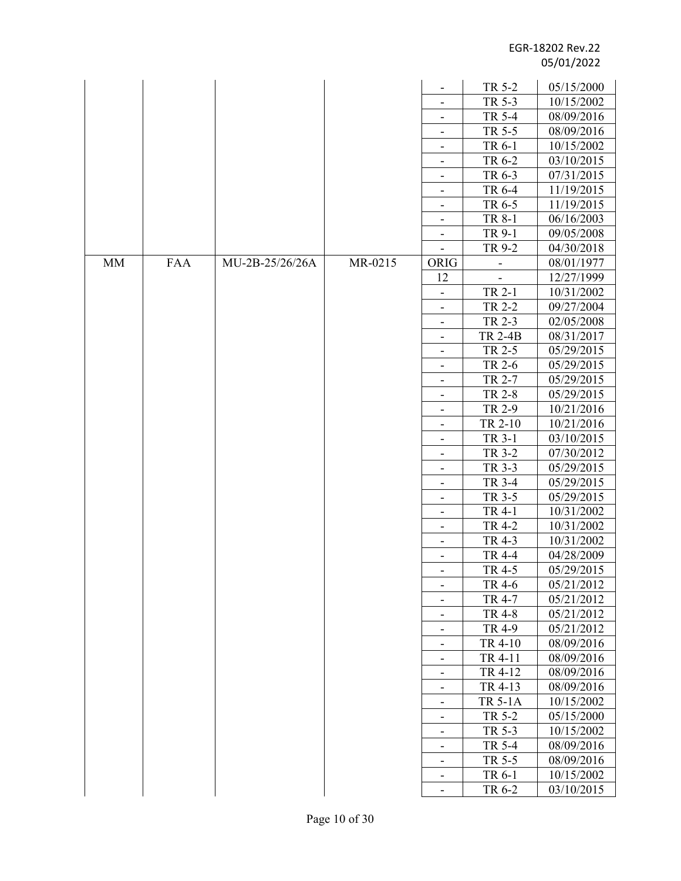|           |            |                 |         | -                            | TR 5-2         | 05/15/2000 |
|-----------|------------|-----------------|---------|------------------------------|----------------|------------|
|           |            |                 |         |                              | TR 5-3         | 10/15/2002 |
|           |            |                 |         |                              | TR 5-4         | 08/09/2016 |
|           |            |                 |         | $\overline{\phantom{a}}$     | TR 5-5         | 08/09/2016 |
|           |            |                 |         | -                            | TR 6-1         | 10/15/2002 |
|           |            |                 |         | $\overline{\phantom{a}}$     | TR 6-2         | 03/10/2015 |
|           |            |                 |         | $\overline{\phantom{a}}$     | TR 6-3         | 07/31/2015 |
|           |            |                 |         |                              | TR 6-4         | 11/19/2015 |
|           |            |                 |         |                              | TR 6-5         | 11/19/2015 |
|           |            |                 |         |                              | TR 8-1         | 06/16/2003 |
|           |            |                 |         | $\overline{\phantom{a}}$     | TR 9-1         | 09/05/2008 |
|           |            |                 |         |                              | TR 9-2         | 04/30/2018 |
| <b>MM</b> | <b>FAA</b> | MU-2B-25/26/26A | MR-0215 | ORIG                         |                | 08/01/1977 |
|           |            |                 |         | 12                           |                | 12/27/1999 |
|           |            |                 |         |                              | TR 2-1         | 10/31/2002 |
|           |            |                 |         | -                            | TR 2-2         | 09/27/2004 |
|           |            |                 |         | $\overline{\phantom{a}}$     | TR 2-3         | 02/05/2008 |
|           |            |                 |         |                              | <b>TR 2-4B</b> | 08/31/2017 |
|           |            |                 |         | $\overline{\phantom{a}}$     | TR 2-5         | 05/29/2015 |
|           |            |                 |         |                              | TR 2-6         | 05/29/2015 |
|           |            |                 |         | -                            | TR 2-7         | 05/29/2015 |
|           |            |                 |         | -                            | TR 2-8         | 05/29/2015 |
|           |            |                 |         |                              | TR 2-9         | 10/21/2016 |
|           |            |                 |         | $\overline{\phantom{a}}$     | TR 2-10        | 10/21/2016 |
|           |            |                 |         |                              | TR 3-1         | 03/10/2015 |
|           |            |                 |         | -                            | TR 3-2         | 07/30/2012 |
|           |            |                 |         | $\overline{\phantom{a}}$     | TR 3-3         | 05/29/2015 |
|           |            |                 |         |                              | TR 3-4         | 05/29/2015 |
|           |            |                 |         |                              | TR 3-5         | 05/29/2015 |
|           |            |                 |         | $\overline{\phantom{a}}$     | TR 4-1         | 10/31/2002 |
|           |            |                 |         |                              | TR 4-2         | 10/31/2002 |
|           |            |                 |         | $\overline{\phantom{a}}$     | TR 4-3         | 10/31/2002 |
|           |            |                 |         |                              | TR 4-4         | 04/28/2009 |
|           |            |                 |         |                              | TR 4-5         | 05/29/2015 |
|           |            |                 |         |                              | TR 4-6         | 05/21/2012 |
|           |            |                 |         |                              | TR 4-7         | 05/21/2012 |
|           |            |                 |         | $\overline{\phantom{a}}$     | TR 4-8         | 05/21/2012 |
|           |            |                 |         |                              | TR 4-9         | 05/21/2012 |
|           |            |                 |         | $\qquad \qquad \blacksquare$ | TR 4-10        | 08/09/2016 |
|           |            |                 |         | $\overline{\phantom{a}}$     | TR 4-11        | 08/09/2016 |
|           |            |                 |         |                              | TR 4-12        | 08/09/2016 |
|           |            |                 |         | -                            | TR 4-13        | 08/09/2016 |
|           |            |                 |         | $\overline{\phantom{a}}$     | <b>TR 5-1A</b> | 10/15/2002 |
|           |            |                 |         |                              | TR 5-2         | 05/15/2000 |
|           |            |                 |         | $\overline{\phantom{a}}$     | TR 5-3         | 10/15/2002 |
|           |            |                 |         |                              | TR 5-4         | 08/09/2016 |
|           |            |                 |         | -                            | TR 5-5         | 08/09/2016 |
|           |            |                 |         | $\overline{\phantom{a}}$     | TR 6-1         | 10/15/2002 |
|           |            |                 |         | $\overline{\phantom{a}}$     | TR 6-2         | 03/10/2015 |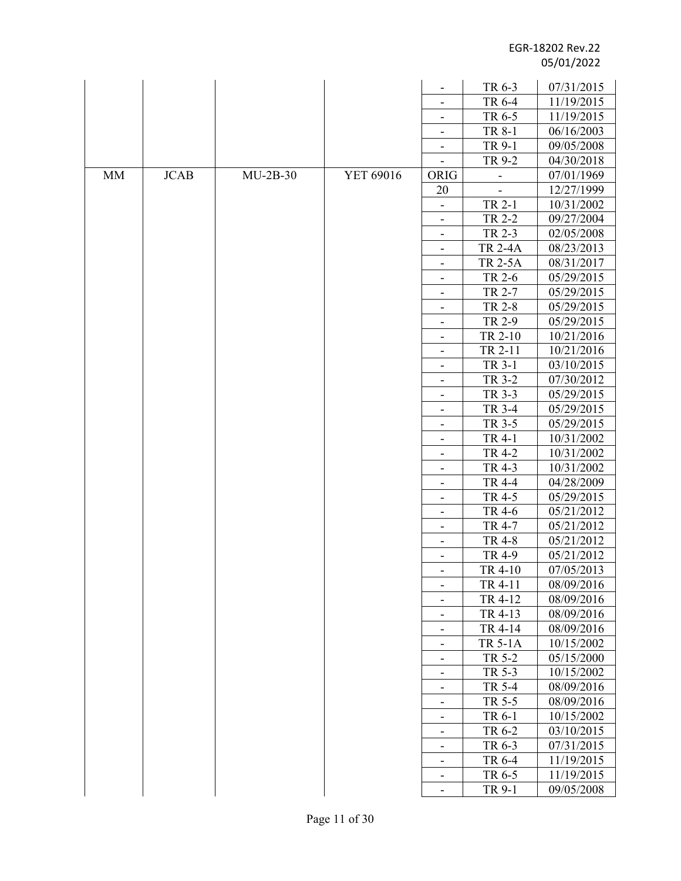|           |             |            |           |                                                          | TR 6-3           | 07/31/2015               |
|-----------|-------------|------------|-----------|----------------------------------------------------------|------------------|--------------------------|
|           |             |            |           |                                                          | TR 6-4           | 11/19/2015               |
|           |             |            |           |                                                          | TR 6-5           | 11/19/2015               |
|           |             |            |           | -                                                        | TR 8-1           | 06/16/2003               |
|           |             |            |           |                                                          | TR 9-1           | 09/05/2008               |
|           |             |            |           |                                                          | TR 9-2           | 04/30/2018               |
| <b>MM</b> | <b>JCAB</b> | $MU-2B-30$ | YET 69016 | ORIG                                                     |                  | 07/01/1969               |
|           |             |            |           | 20                                                       |                  | 12/27/1999               |
|           |             |            |           |                                                          | TR 2-1           | 10/31/2002               |
|           |             |            |           | $\qquad \qquad \blacksquare$                             | TR 2-2           | 09/27/2004               |
|           |             |            |           |                                                          | TR 2-3           | 02/05/2008               |
|           |             |            |           | $\overline{\phantom{a}}$                                 | <b>TR 2-4A</b>   | 08/23/2013               |
|           |             |            |           |                                                          | <b>TR 2-5A</b>   | 08/31/2017               |
|           |             |            |           | -                                                        | TR 2-6           | 05/29/2015               |
|           |             |            |           | $\overline{\phantom{a}}$                                 | TR 2-7           | 05/29/2015               |
|           |             |            |           | $\overline{\phantom{a}}$                                 | TR 2-8           | 05/29/2015               |
|           |             |            |           |                                                          | TR 2-9           | 05/29/2015               |
|           |             |            |           | $\overline{\phantom{a}}$                                 | TR 2-10          | 10/21/2016               |
|           |             |            |           |                                                          | TR 2-11          | 10/21/2016               |
|           |             |            |           | -                                                        | TR 3-1           | 03/10/2015               |
|           |             |            |           | $\overline{\phantom{a}}$                                 | TR 3-2           | 07/30/2012               |
|           |             |            |           |                                                          | TR 3-3           | 05/29/2015               |
|           |             |            |           | $\overline{\phantom{a}}$                                 | TR 3-4           | 05/29/2015               |
|           |             |            |           | -                                                        | TR 3-5           | 05/29/2015               |
|           |             |            |           | $\overline{\phantom{a}}$                                 | TR 4-1           | 10/31/2002               |
|           |             |            |           | $\overline{\phantom{a}}$                                 | TR 4-2           | 10/31/2002               |
|           |             |            |           |                                                          | TR 4-3           | 10/31/2002               |
|           |             |            |           | $\overline{\phantom{a}}$                                 | <b>TR 4-4</b>    | 04/28/2009               |
|           |             |            |           | $\overline{\phantom{a}}$                                 | TR 4-5           | 05/29/2015               |
|           |             |            |           | -                                                        | TR 4-6           | 05/21/2012               |
|           |             |            |           | -                                                        | TR 4-7           | 05/21/2012               |
|           |             |            |           | $\overline{\phantom{a}}$                                 | TR 4-8           | 05/21/2012               |
|           |             |            |           | $\qquad \qquad \blacksquare$                             | TR 4-9           | 05/21/2012               |
|           |             |            |           |                                                          | TR 4-10          | 07/05/2013               |
|           |             |            |           | -                                                        | TR 4-11          | 08/09/2016               |
|           |             |            |           | $\overline{\phantom{0}}$                                 | TR 4-12          | 08/09/2016               |
|           |             |            |           |                                                          | TR 4-13          | 08/09/2016               |
|           |             |            |           | $\qquad \qquad \blacksquare$                             | TR 4-14          | 08/09/2016               |
|           |             |            |           | $\qquad \qquad \blacksquare$                             | <b>TR 5-1A</b>   | 10/15/2002               |
|           |             |            |           | ۰                                                        | TR 5-2           | 05/15/2000               |
|           |             |            |           | $\overline{\phantom{a}}$                                 | TR 5-3           | 10/15/2002               |
|           |             |            |           | $\overline{\phantom{a}}$                                 | TR 5-4<br>TR 5-5 | 08/09/2016               |
|           |             |            |           | -                                                        | TR 6-1           | 08/09/2016<br>10/15/2002 |
|           |             |            |           | -                                                        | TR 6-2           | 03/10/2015               |
|           |             |            |           |                                                          | TR 6-3           | 07/31/2015               |
|           |             |            |           | $\qquad \qquad \blacksquare$                             | TR 6-4           | 11/19/2015               |
|           |             |            |           | $\overline{\phantom{0}}$<br>$\qquad \qquad \blacksquare$ | TR 6-5           | 11/19/2015               |
|           |             |            |           | $\qquad \qquad \blacksquare$                             | TR 9-1           | 09/05/2008               |
|           |             |            |           |                                                          |                  |                          |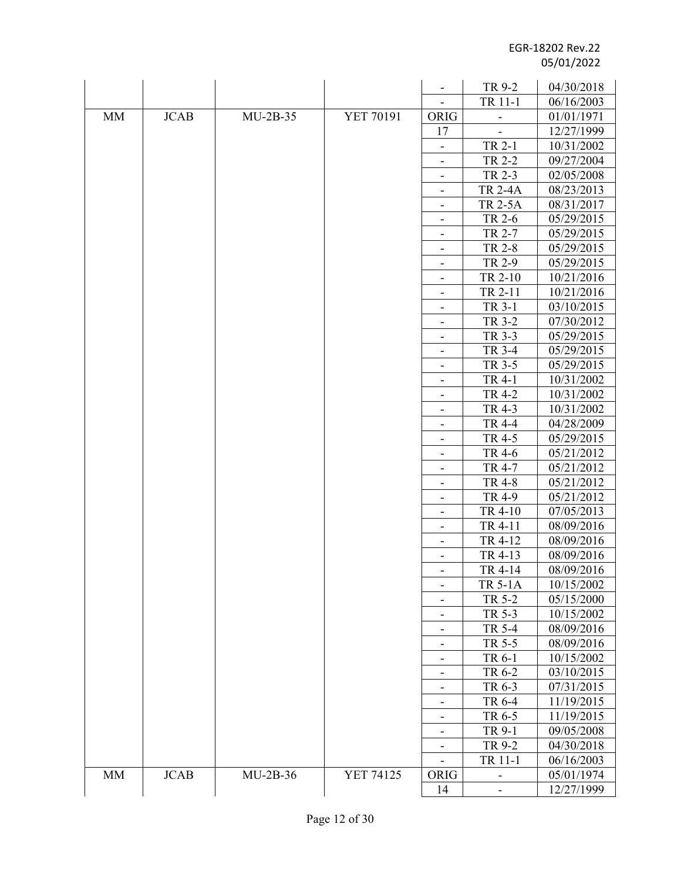|           |             |            |           | $\overline{\phantom{a}}$     | TR 9-2                   | 04/30/2018 |
|-----------|-------------|------------|-----------|------------------------------|--------------------------|------------|
|           |             |            |           |                              | TR 11-1                  | 06/16/2003 |
| <b>MM</b> | <b>JCAB</b> | $MU-2B-35$ | YET 70191 | ORIG                         |                          | 01/01/1971 |
|           |             |            |           | 17                           |                          | 12/27/1999 |
|           |             |            |           | $\qquad \qquad \blacksquare$ | TR 2-1                   | 10/31/2002 |
|           |             |            |           |                              | TR 2-2                   | 09/27/2004 |
|           |             |            |           |                              | TR 2-3                   | 02/05/2008 |
|           |             |            |           | $\overline{\phantom{a}}$     | <b>TR 2-4A</b>           | 08/23/2013 |
|           |             |            |           |                              | <b>TR 2-5A</b>           | 08/31/2017 |
|           |             |            |           | -                            | TR 2-6                   | 05/29/2015 |
|           |             |            |           | $\overline{\phantom{a}}$     | TR 2-7                   | 05/29/2015 |
|           |             |            |           |                              | TR 2-8                   | 05/29/2015 |
|           |             |            |           | $\overline{\phantom{a}}$     | TR 2-9                   | 05/29/2015 |
|           |             |            |           | -                            | TR 2-10                  | 10/21/2016 |
|           |             |            |           | -                            | TR 2-11                  | 10/21/2016 |
|           |             |            |           | -                            | TR 3-1                   | 03/10/2015 |
|           |             |            |           | $\overline{\phantom{a}}$     | TR 3-2                   | 07/30/2012 |
|           |             |            |           | -                            | TR 3-3                   | 05/29/2015 |
|           |             |            |           | $\overline{\phantom{0}}$     | TR 3-4                   | 05/29/2015 |
|           |             |            |           | -                            | TR 3-5                   | 05/29/2015 |
|           |             |            |           | -                            | TR 4-1                   | 10/31/2002 |
|           |             |            |           | $\overline{\phantom{a}}$     | TR 4-2                   | 10/31/2002 |
|           |             |            |           | -                            | TR 4-3                   | 10/31/2002 |
|           |             |            |           | $\overline{\phantom{a}}$     | TR 4-4                   | 04/28/2009 |
|           |             |            |           |                              | TR 4-5                   | 05/29/2015 |
|           |             |            |           | $\overline{\phantom{a}}$     | TR 4-6                   | 05/21/2012 |
|           |             |            |           |                              | TR 4-7                   | 05/21/2012 |
|           |             |            |           |                              | TR 4-8                   | 05/21/2012 |
|           |             |            |           | $\overline{\phantom{a}}$     | TR 4-9                   | 05/21/2012 |
|           |             |            |           |                              | TR 4-10                  | 07/05/2013 |
|           |             |            |           | -                            | TR 4-11                  | 08/09/2016 |
|           |             |            |           | -                            | TR 4-12                  | 08/09/2016 |
|           |             |            |           |                              | TR 4-13                  | 08/09/2016 |
|           |             |            |           |                              | TR 4-14                  | 08/09/2016 |
|           |             |            |           | $\overline{\phantom{0}}$     | <b>TR 5-1A</b>           | 10/15/2002 |
|           |             |            |           | -                            | TR 5-2                   | 05/15/2000 |
|           |             |            |           | -                            | TR 5-3                   | 10/15/2002 |
|           |             |            |           |                              | TR 5-4                   | 08/09/2016 |
|           |             |            |           | $\qquad \qquad \blacksquare$ | TR 5-5                   | 08/09/2016 |
|           |             |            |           | -                            | TR 6-1                   | 10/15/2002 |
|           |             |            |           | $\overline{\phantom{0}}$     | TR 6-2                   | 03/10/2015 |
|           |             |            |           | -                            | TR 6-3                   | 07/31/2015 |
|           |             |            |           | $\overline{\phantom{0}}$     | TR 6-4                   | 11/19/2015 |
|           |             |            |           |                              | TR 6-5                   | 11/19/2015 |
|           |             |            |           |                              | TR 9-1                   | 09/05/2008 |
|           |             |            |           |                              | TR 9-2                   | 04/30/2018 |
|           |             |            |           | $\overline{\phantom{a}}$     | TR 11-1                  | 06/16/2003 |
| MM        | <b>JCAB</b> | $MU-2B-36$ | YET 74125 | ORIG                         |                          | 05/01/1974 |
|           |             |            |           | 14                           | $\overline{\phantom{0}}$ | 12/27/1999 |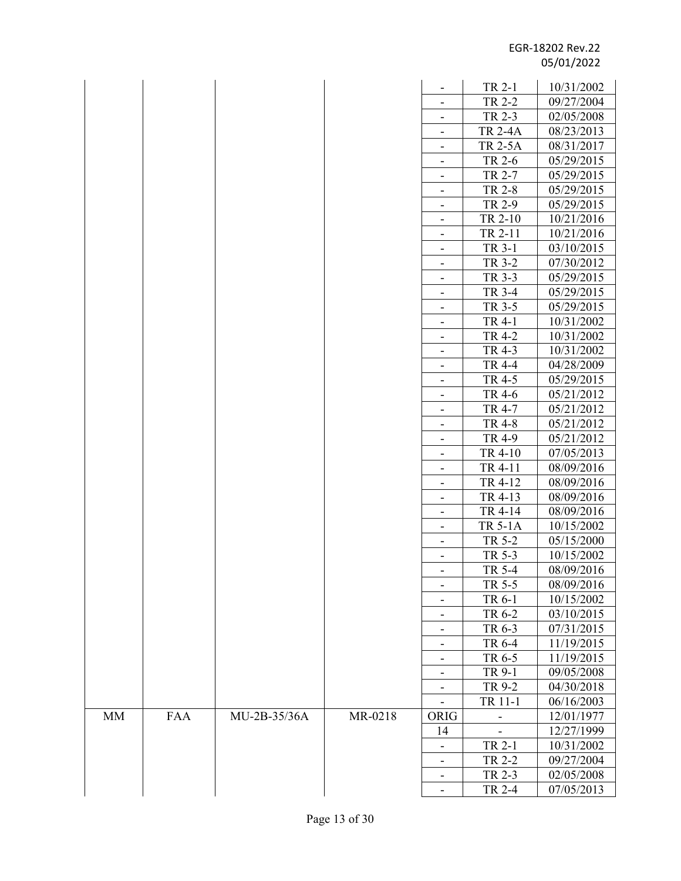|             |            |              |         |                              | TR 2-1                   | 10/31/2002 |
|-------------|------------|--------------|---------|------------------------------|--------------------------|------------|
|             |            |              |         |                              | TR 2-2                   | 09/27/2004 |
|             |            |              |         | -                            | TR 2-3                   | 02/05/2008 |
|             |            |              |         | $\overline{\phantom{a}}$     | <b>TR 2-4A</b>           | 08/23/2013 |
|             |            |              |         |                              | <b>TR 2-5A</b>           | 08/31/2017 |
|             |            |              |         | $\overline{\phantom{a}}$     | TR 2-6                   | 05/29/2015 |
|             |            |              |         |                              | TR 2-7                   | 05/29/2015 |
|             |            |              |         | $\overline{\phantom{0}}$     | <b>TR 2-8</b>            | 05/29/2015 |
|             |            |              |         | $\overline{\phantom{a}}$     | TR 2-9                   | 05/29/2015 |
|             |            |              |         |                              | TR 2-10                  | 10/21/2016 |
|             |            |              |         | -                            | TR 2-11                  | 10/21/2016 |
|             |            |              |         | $\overline{\phantom{a}}$     | TR 3-1                   | 03/10/2015 |
|             |            |              |         |                              | TR 3-2                   | 07/30/2012 |
|             |            |              |         | $\overline{\phantom{a}}$     | TR 3-3                   | 05/29/2015 |
|             |            |              |         |                              | TR 3-4                   | 05/29/2015 |
|             |            |              |         |                              | TR 3-5                   | 05/29/2015 |
|             |            |              |         | $\overline{\phantom{a}}$     | TR 4-1                   | 10/31/2002 |
|             |            |              |         | $\overline{\phantom{m}}$     | <b>TR 4-2</b>            | 10/31/2002 |
|             |            |              |         | $\overline{\phantom{a}}$     | TR 4-3                   | 10/31/2002 |
|             |            |              |         |                              | TR 4-4                   | 04/28/2009 |
|             |            |              |         |                              | TR 4-5                   | 05/29/2015 |
|             |            |              |         | $\overline{\phantom{a}}$     | TR 4-6                   | 05/21/2012 |
|             |            |              |         |                              | TR 4-7                   | 05/21/2012 |
|             |            |              |         | -                            | TR 4-8                   | 05/21/2012 |
|             |            |              |         | $\qquad \qquad \blacksquare$ | TR 4-9                   | 05/21/2012 |
|             |            |              |         |                              | TR 4-10                  | 07/05/2013 |
|             |            |              |         | $\overline{\phantom{a}}$     | TR 4-11                  | 08/09/2016 |
|             |            |              |         |                              | TR 4-12                  | 08/09/2016 |
|             |            |              |         | -                            | TR 4-13                  | 08/09/2016 |
|             |            |              |         | $\overline{\phantom{a}}$     | TR 4-14                  | 08/09/2016 |
|             |            |              |         | $\overline{\phantom{a}}$     | <b>TR 5-1A</b>           | 10/15/2002 |
|             |            |              |         |                              | TR 5-2                   | 05/15/2000 |
|             |            |              |         |                              | TR 5-3                   | 10/15/2002 |
|             |            |              |         | -                            | TR 5-4                   | 08/09/2016 |
|             |            |              |         | $\overline{\phantom{a}}$     | TR 5-5                   | 08/09/2016 |
|             |            |              |         |                              | TR 6-1                   | 10/15/2002 |
|             |            |              |         | -                            | TR 6-2                   | 03/10/2015 |
|             |            |              |         | -                            | TR 6-3                   | 07/31/2015 |
|             |            |              |         | -                            | TR 6-4                   | 11/19/2015 |
|             |            |              |         | $\overline{\phantom{a}}$     | TR 6-5                   | 11/19/2015 |
|             |            |              |         | -                            | TR 9-1                   | 09/05/2008 |
|             |            |              |         |                              | TR 9-2                   | 04/30/2018 |
|             |            |              |         |                              | TR 11-1                  | 06/16/2003 |
| $\text{MM}$ | <b>FAA</b> | MU-2B-35/36A | MR-0218 | ORIG                         | $\overline{\phantom{0}}$ | 12/01/1977 |
|             |            |              |         | 14                           |                          | 12/27/1999 |
|             |            |              |         | $\qquad \qquad \blacksquare$ | TR 2-1                   | 10/31/2002 |
|             |            |              |         |                              | TR 2-2                   | 09/27/2004 |
|             |            |              |         | $\overline{\phantom{a}}$     | TR 2-3                   | 02/05/2008 |
|             |            |              |         |                              | TR 2-4                   | 07/05/2013 |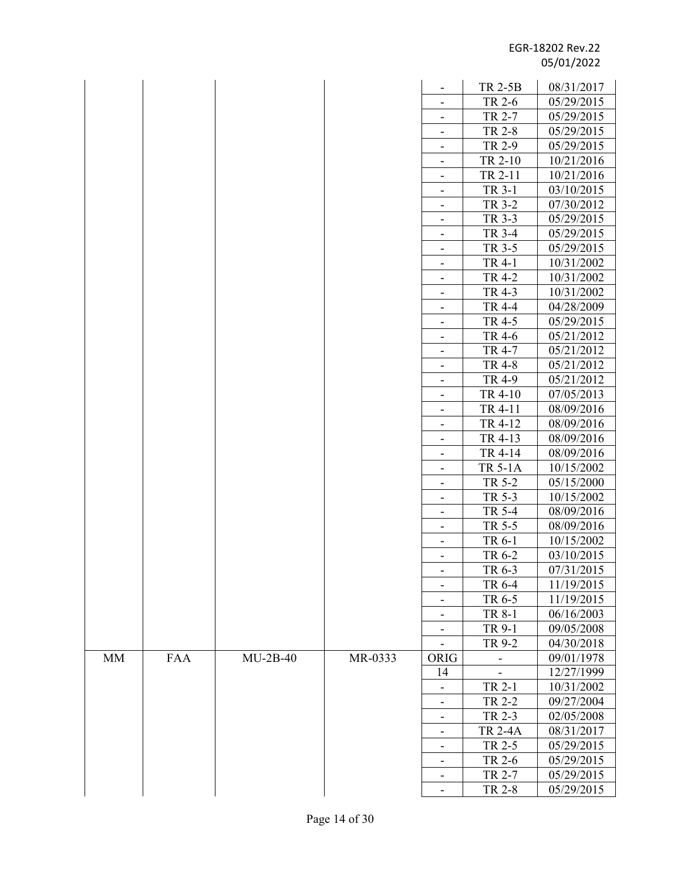|           |     |            |         |                              | <b>TR 2-5B</b> | 08/31/2017 |
|-----------|-----|------------|---------|------------------------------|----------------|------------|
|           |     |            |         | -                            | TR 2-6         | 05/29/2015 |
|           |     |            |         | $\overline{\phantom{a}}$     | TR 2-7         | 05/29/2015 |
|           |     |            |         |                              | TR 2-8         | 05/29/2015 |
|           |     |            |         | $\overline{\phantom{a}}$     | TR 2-9         | 05/29/2015 |
|           |     |            |         |                              | TR 2-10        | 10/21/2016 |
|           |     |            |         | -                            | TR 2-11        | 10/21/2016 |
|           |     |            |         | $\overline{\phantom{a}}$     | TR 3-1         | 03/10/2015 |
|           |     |            |         |                              | TR 3-2         | 07/30/2012 |
|           |     |            |         | -                            | TR 3-3         | 05/29/2015 |
|           |     |            |         | $\overline{\phantom{a}}$     | TR 3-4         | 05/29/2015 |
|           |     |            |         |                              | TR 3-5         | 05/29/2015 |
|           |     |            |         | $\overline{\phantom{a}}$     | TR 4-1         | 10/31/2002 |
|           |     |            |         |                              | TR 4-2         | 10/31/2002 |
|           |     |            |         |                              | TR 4-3         | 10/31/2002 |
|           |     |            |         | $\overline{\phantom{a}}$     | <b>TR 4-4</b>  | 04/28/2009 |
|           |     |            |         |                              | TR 4-5         | 05/29/2015 |
|           |     |            |         | -                            | TR 4-6         | 05/21/2012 |
|           |     |            |         | $\overline{\phantom{a}}$     | TR 4-7         | 05/21/2012 |
|           |     |            |         | $\qquad \qquad \blacksquare$ | <b>TR 4-8</b>  | 05/21/2012 |
|           |     |            |         | $\overline{\phantom{a}}$     | TR 4-9         | 05/21/2012 |
|           |     |            |         |                              | TR 4-10        | 07/05/2013 |
|           |     |            |         | -                            | TR 4-11        | 08/09/2016 |
|           |     |            |         | $\qquad \qquad \blacksquare$ | TR 4-12        | 08/09/2016 |
|           |     |            |         |                              | TR 4-13        | 08/09/2016 |
|           |     |            |         | $\overline{\phantom{0}}$     | TR 4-14        | 08/09/2016 |
|           |     |            |         |                              | <b>TR 5-1A</b> | 10/15/2002 |
|           |     |            |         | -                            | TR 5-2         | 05/15/2000 |
|           |     |            |         | -                            | TR 5-3         | 10/15/2002 |
|           |     |            |         |                              | TR 5-4         | 08/09/2016 |
|           |     |            |         | -                            | TR 5-5         | 08/09/2016 |
|           |     |            |         | -                            | TR 6-1         | 10/15/2002 |
|           |     |            |         |                              | TR 6-2         | 03/10/2015 |
|           |     |            |         | ۰.                           | TR 6-3         | 07/31/2015 |
|           |     |            |         | $\overline{\phantom{a}}$     | TR 6-4         | 11/19/2015 |
|           |     |            |         |                              | TR 6-5         | 11/19/2015 |
|           |     |            |         |                              | TR 8-1         | 06/16/2003 |
|           |     |            |         | ۰                            | TR 9-1         | 09/05/2008 |
|           |     |            |         | $\overline{\phantom{a}}$     | TR 9-2         | 04/30/2018 |
| <b>MM</b> | FAA | $MU-2B-40$ | MR-0333 | ORIG                         |                | 09/01/1978 |
|           |     |            |         | 14                           |                | 12/27/1999 |
|           |     |            |         |                              | TR 2-1         | 10/31/2002 |
|           |     |            |         | $\overline{\phantom{a}}$     | TR 2-2         | 09/27/2004 |
|           |     |            |         | -                            | TR 2-3         | 02/05/2008 |
|           |     |            |         | -                            | <b>TR 2-4A</b> | 08/31/2017 |
|           |     |            |         |                              | TR 2-5         | 05/29/2015 |
|           |     |            |         | $\qquad \qquad \blacksquare$ | TR 2-6         | 05/29/2015 |
|           |     |            |         |                              | TR 2-7         | 05/29/2015 |
|           |     |            |         | $\overline{\phantom{a}}$     | <b>TR 2-8</b>  | 05/29/2015 |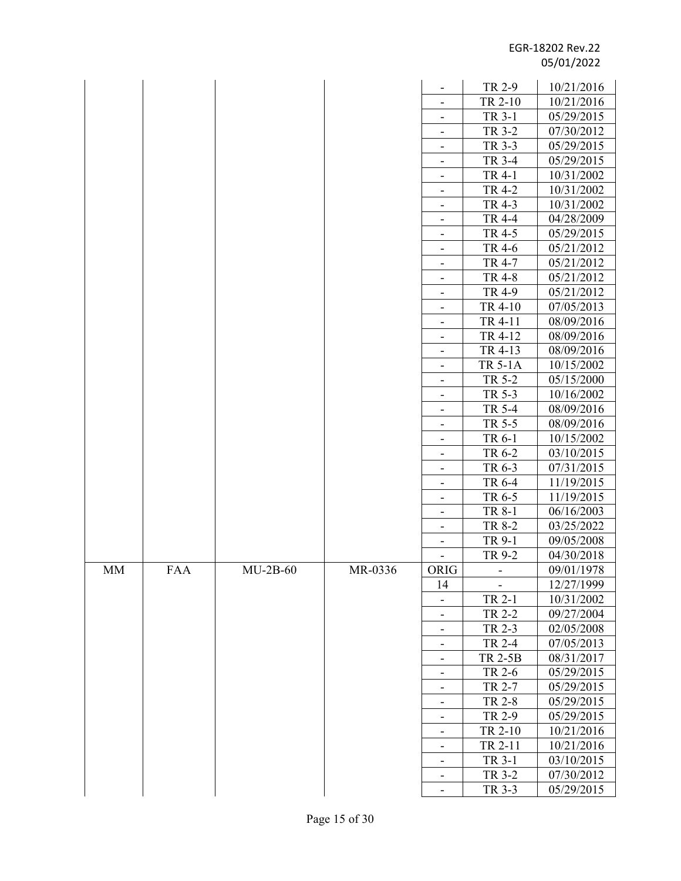|    |            |            |         |                              | TR 2-9         | 10/21/2016 |
|----|------------|------------|---------|------------------------------|----------------|------------|
|    |            |            |         | $\overline{\phantom{a}}$     | TR 2-10        | 10/21/2016 |
|    |            |            |         |                              | TR 3-1         | 05/29/2015 |
|    |            |            |         |                              | TR 3-2         | 07/30/2012 |
|    |            |            |         | $\overline{\phantom{a}}$     | TR 3-3         | 05/29/2015 |
|    |            |            |         |                              | TR 3-4         | 05/29/2015 |
|    |            |            |         | $\overline{\phantom{0}}$     | TR 4-1         | 10/31/2002 |
|    |            |            |         | $\overline{\phantom{0}}$     | TR 4-2         | 10/31/2002 |
|    |            |            |         |                              | TR 4-3         | 10/31/2002 |
|    |            |            |         | $\overline{\phantom{a}}$     | <b>TR 4-4</b>  | 04/28/2009 |
|    |            |            |         | $\overline{\phantom{a}}$     | TR 4-5         | 05/29/2015 |
|    |            |            |         | -                            | TR 4-6         | 05/21/2012 |
|    |            |            |         | -                            | TR 4-7         | 05/21/2012 |
|    |            |            |         |                              | <b>TR 4-8</b>  | 05/21/2012 |
|    |            |            |         | $\overline{\phantom{a}}$     | TR 4-9         | 05/21/2012 |
|    |            |            |         |                              | TR 4-10        | 07/05/2013 |
|    |            |            |         | -                            | TR 4-11        | 08/09/2016 |
|    |            |            |         | $\qquad \qquad \blacksquare$ | TR 4-12        | 08/09/2016 |
|    |            |            |         |                              | TR 4-13        | 08/09/2016 |
|    |            |            |         | $\overline{\phantom{a}}$     | <b>TR 5-1A</b> | 10/15/2002 |
|    |            |            |         | -                            | TR 5-2         | 05/15/2000 |
|    |            |            |         | -                            | TR 5-3         | 10/16/2002 |
|    |            |            |         | $\overline{\phantom{a}}$     | TR 5-4         | 08/09/2016 |
|    |            |            |         | $\overline{\phantom{a}}$     | TR 5-5         | 08/09/2016 |
|    |            |            |         |                              | TR 6-1         | 10/15/2002 |
|    |            |            |         |                              | TR 6-2         | 03/10/2015 |
|    |            |            |         |                              | TR 6-3         | 07/31/2015 |
|    |            |            |         | $\overline{\phantom{a}}$     | TR 6-4         | 11/19/2015 |
|    |            |            |         |                              | TR 6-5         | 11/19/2015 |
|    |            |            |         | $\overline{\phantom{a}}$     | TR 8-1         | 06/16/2003 |
|    |            |            |         | $\overline{\phantom{a}}$     | TR 8-2         | 03/25/2022 |
|    |            |            |         |                              | TR 9-1         | 09/05/2008 |
|    |            |            |         |                              | TR 9-2         | 04/30/2018 |
| MM | <b>FAA</b> | $MU-2B-60$ | MR-0336 | ORIG                         |                | 09/01/1978 |
|    |            |            |         | 14                           |                | 12/27/1999 |
|    |            |            |         |                              | TR 2-1         | 10/31/2002 |
|    |            |            |         |                              | TR 2-2         | 09/27/2004 |
|    |            |            |         | -                            | TR 2-3         | 02/05/2008 |
|    |            |            |         | -                            | TR 2-4         | 07/05/2013 |
|    |            |            |         |                              | <b>TR 2-5B</b> | 08/31/2017 |
|    |            |            |         |                              | TR 2-6         | 05/29/2015 |
|    |            |            |         |                              | TR 2-7         | 05/29/2015 |
|    |            |            |         | -                            | <b>TR 2-8</b>  | 05/29/2015 |
|    |            |            |         | $\overline{\phantom{a}}$     | TR 2-9         | 05/29/2015 |
|    |            |            |         |                              | TR 2-10        | 10/21/2016 |
|    |            |            |         | $\overline{\phantom{a}}$     | TR 2-11        | 10/21/2016 |
|    |            |            |         | $\overline{\phantom{a}}$     | TR 3-1         | 03/10/2015 |
|    |            |            |         | -                            | TR 3-2         | 07/30/2012 |
|    |            |            |         | $\overline{\phantom{a}}$     | TR 3-3         | 05/29/2015 |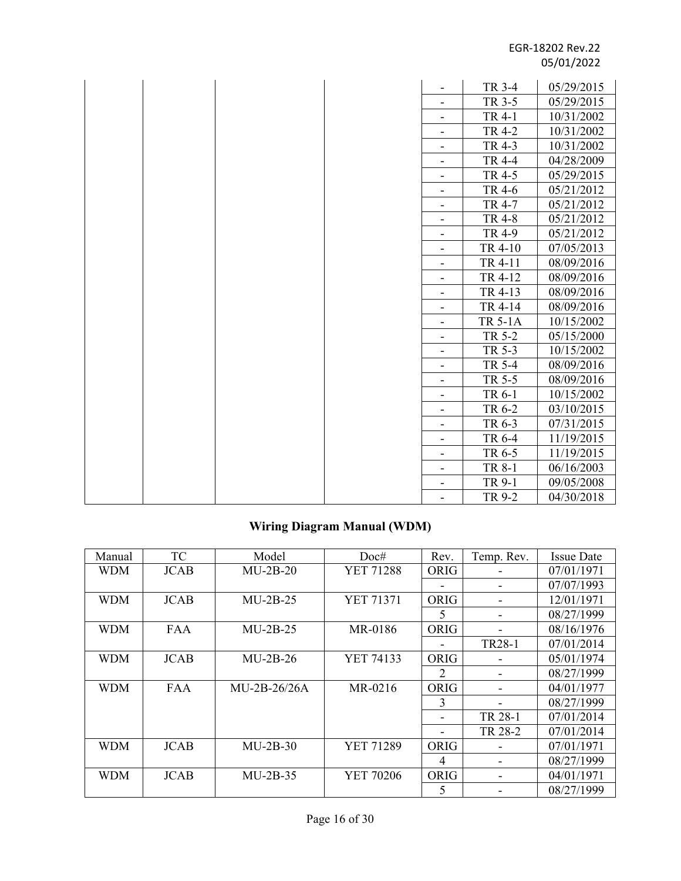|  |  |                              | TR 3-4         | 05/29/2015 |
|--|--|------------------------------|----------------|------------|
|  |  |                              | TR 3-5         | 05/29/2015 |
|  |  | -                            | TR 4-1         | 10/31/2002 |
|  |  |                              | <b>TR 4-2</b>  | 10/31/2002 |
|  |  | $\overline{\phantom{0}}$     | TR 4-3         | 10/31/2002 |
|  |  | -                            | <b>TR 4-4</b>  | 04/28/2009 |
|  |  | $\overline{\phantom{0}}$     | TR 4-5         | 05/29/2015 |
|  |  | -                            | TR 4-6         | 05/21/2012 |
|  |  |                              | TR 4-7         | 05/21/2012 |
|  |  | -                            | <b>TR 4-8</b>  | 05/21/2012 |
|  |  |                              | TR 4-9         | 05/21/2012 |
|  |  | -                            | TR 4-10        | 07/05/2013 |
|  |  |                              | TR 4-11        | 08/09/2016 |
|  |  | $\overline{\phantom{a}}$     | TR 4-12        | 08/09/2016 |
|  |  | $\overline{\phantom{0}}$     | TR 4-13        | 08/09/2016 |
|  |  | -                            | TR 4-14        | 08/09/2016 |
|  |  | -                            | <b>TR 5-1A</b> | 10/15/2002 |
|  |  | $\qquad \qquad \blacksquare$ | TR 5-2         | 05/15/2000 |
|  |  | -                            | TR 5-3         | 10/15/2002 |
|  |  |                              | TR 5-4         | 08/09/2016 |
|  |  | $\overline{\phantom{a}}$     | TR 5-5         | 08/09/2016 |
|  |  | $\overline{\phantom{a}}$     | TR 6-1         | 10/15/2002 |
|  |  | $\overline{\phantom{0}}$     | TR 6-2         | 03/10/2015 |
|  |  | Ξ.                           | TR 6-3         | 07/31/2015 |
|  |  | -                            | TR 6-4         | 11/19/2015 |
|  |  | -                            | TR 6-5         | 11/19/2015 |
|  |  | $\overline{\phantom{0}}$     | TR 8-1         | 06/16/2003 |
|  |  | -                            | TR 9-1         | 09/05/2008 |
|  |  |                              | TR 9-2         | 04/30/2018 |

## **Wiring Diagram Manual (WDM)**

| Manual     | TC          | Model          | Doc#             | Rev.                     | Temp. Rev.                   | <b>Issue Date</b> |
|------------|-------------|----------------|------------------|--------------------------|------------------------------|-------------------|
| <b>WDM</b> | <b>JCAB</b> | $MU-2B-20$     | <b>YET 71288</b> | <b>ORIG</b>              |                              | 07/01/1971        |
|            |             |                |                  |                          |                              | 07/07/1993        |
| <b>WDM</b> | <b>JCAB</b> | $MU-2B-25$     | <b>YET 71371</b> | <b>ORIG</b>              |                              | 12/01/1971        |
|            |             |                |                  | 5                        | $\qquad \qquad \blacksquare$ | 08/27/1999        |
| <b>WDM</b> | <b>FAA</b>  | $MU-2B-25$     | MR-0186          | <b>ORIG</b>              |                              | 08/16/1976        |
|            |             |                |                  |                          | TR28-1                       | 07/01/2014        |
| <b>WDM</b> | <b>JCAB</b> | $MU-2B-26$     | YET 74133        | <b>ORIG</b>              |                              | 05/01/1974        |
|            |             |                |                  | 2                        |                              | 08/27/1999        |
| <b>WDM</b> | <b>FAA</b>  | $MU-2B-26/26A$ | MR-0216          | <b>ORIG</b>              | -                            | 04/01/1977        |
|            |             |                |                  | 3                        | $\blacksquare$               | 08/27/1999        |
|            |             |                |                  | $\overline{\phantom{a}}$ | TR 28-1                      | 07/01/2014        |
|            |             |                |                  |                          | TR 28-2                      | 07/01/2014        |
| <b>WDM</b> | <b>JCAB</b> | $MU-2B-30$     | <b>YET 71289</b> | ORIG                     |                              | 07/01/1971        |
|            |             |                |                  | 4                        |                              | 08/27/1999        |
| <b>WDM</b> | <b>JCAB</b> | $MU-2B-35$     | YET 70206        | ORIG                     | -                            | 04/01/1971        |
|            |             |                |                  | 5                        |                              | 08/27/1999        |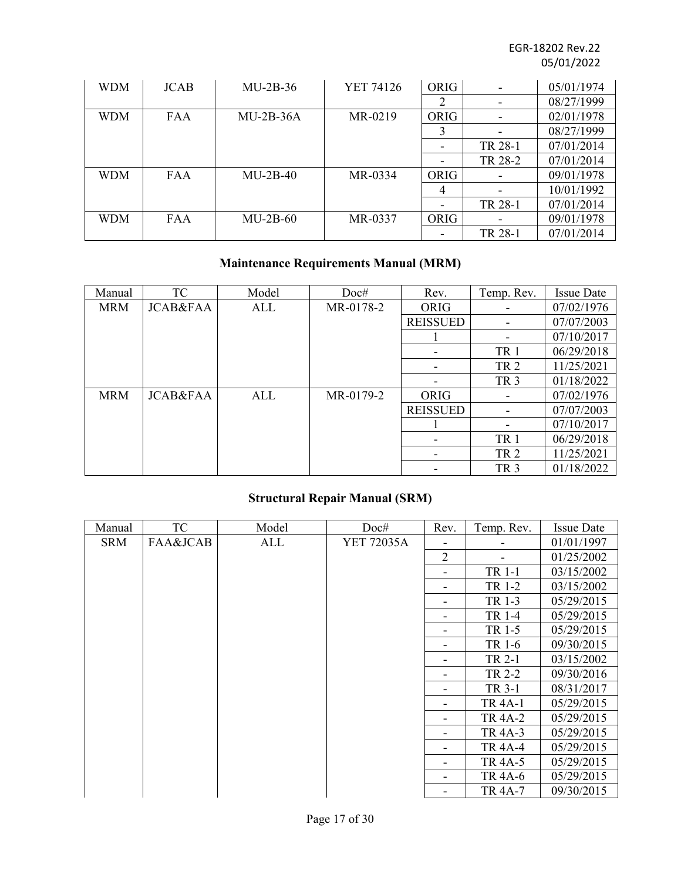| <b>WDM</b> | <b>JCAB</b> | $MU-2B-36$  | YET 74126 | <b>ORIG</b>              | -                            | 05/01/1974 |
|------------|-------------|-------------|-----------|--------------------------|------------------------------|------------|
|            |             |             |           | 2                        | $\overline{\phantom{a}}$     | 08/27/1999 |
| <b>WDM</b> | <b>FAA</b>  | $MU-2B-36A$ | MR-0219   | <b>ORIG</b>              | $\qquad \qquad \blacksquare$ | 02/01/1978 |
|            |             |             |           | 3                        |                              | 08/27/1999 |
|            |             |             |           | -                        | TR 28-1                      | 07/01/2014 |
|            |             |             |           | -                        | TR 28-2                      | 07/01/2014 |
| <b>WDM</b> | <b>FAA</b>  | $MU-2B-40$  | MR-0334   | <b>ORIG</b>              |                              | 09/01/1978 |
|            |             |             |           | 4                        |                              | 10/01/1992 |
|            |             |             |           | $\overline{\phantom{a}}$ | TR 28-1                      | 07/01/2014 |
| <b>WDM</b> | <b>FAA</b>  | $MU-2B-60$  | MR-0337   | <b>ORIG</b>              |                              | 09/01/1978 |
|            |             |             |           |                          | TR 28-1                      | 07/01/2014 |

## **Maintenance Requirements Manual (MRM)**

| Manual     | TC                  | Model | Doc#      | Rev.            | Temp. Rev.      | <b>Issue Date</b> |
|------------|---------------------|-------|-----------|-----------------|-----------------|-------------------|
| <b>MRM</b> | <b>JCAB&amp;FAA</b> | ALL   | MR-0178-2 | ORIG            |                 | 07/02/1976        |
|            |                     |       |           | <b>REISSUED</b> |                 | 07/07/2003        |
|            |                     |       |           |                 |                 | 07/10/2017        |
|            |                     |       |           |                 | TR <sub>1</sub> | 06/29/2018        |
|            |                     |       |           |                 | TR <sub>2</sub> | 11/25/2021        |
|            |                     |       |           |                 | TR <sub>3</sub> | 01/18/2022        |
| <b>MRM</b> | <b>JCAB&amp;FAA</b> | ALL   | MR-0179-2 | ORIG            |                 | 07/02/1976        |
|            |                     |       |           | <b>REISSUED</b> |                 | 07/07/2003        |
|            |                     |       |           |                 |                 | 07/10/2017        |
|            |                     |       |           |                 | TR <sub>1</sub> | 06/29/2018        |
|            |                     |       |           | ۰               | TR <sub>2</sub> | 11/25/2021        |
|            |                     |       |           |                 | TR <sub>3</sub> | 01/18/2022        |

## **Structural Repair Manual (SRM)**

| Manual     | <b>TC</b> | Model | Doc#       | Rev.                     | Temp. Rev.     | <b>Issue Date</b> |
|------------|-----------|-------|------------|--------------------------|----------------|-------------------|
| <b>SRM</b> | FAA&JCAB  | ALL   | YET 72035A |                          |                | 01/01/1997        |
|            |           |       |            | $\overline{2}$           |                | 01/25/2002        |
|            |           |       |            |                          | TR 1-1         | 03/15/2002        |
|            |           |       |            |                          | TR 1-2         | 03/15/2002        |
|            |           |       |            |                          | TR 1-3         | 05/29/2015        |
|            |           |       |            |                          | TR 1-4         | 05/29/2015        |
|            |           |       |            |                          | TR 1-5         | 05/29/2015        |
|            |           |       |            |                          | TR 1-6         | 09/30/2015        |
|            |           |       |            |                          | TR 2-1         | 03/15/2002        |
|            |           |       |            |                          | TR 2-2         | 09/30/2016        |
|            |           |       |            |                          | TR 3-1         | 08/31/2017        |
|            |           |       |            |                          | <b>TR 4A-1</b> | 05/29/2015        |
|            |           |       |            |                          | <b>TR 4A-2</b> | 05/29/2015        |
|            |           |       |            |                          | TR 4A-3        | 05/29/2015        |
|            |           |       |            |                          | <b>TR 4A-4</b> | 05/29/2015        |
|            |           |       |            | $\overline{\phantom{a}}$ | <b>TR 4A-5</b> | 05/29/2015        |
|            |           |       |            |                          | <b>TR 4A-6</b> | 05/29/2015        |
|            |           |       |            | ۰                        | <b>TR 4A-7</b> | 09/30/2015        |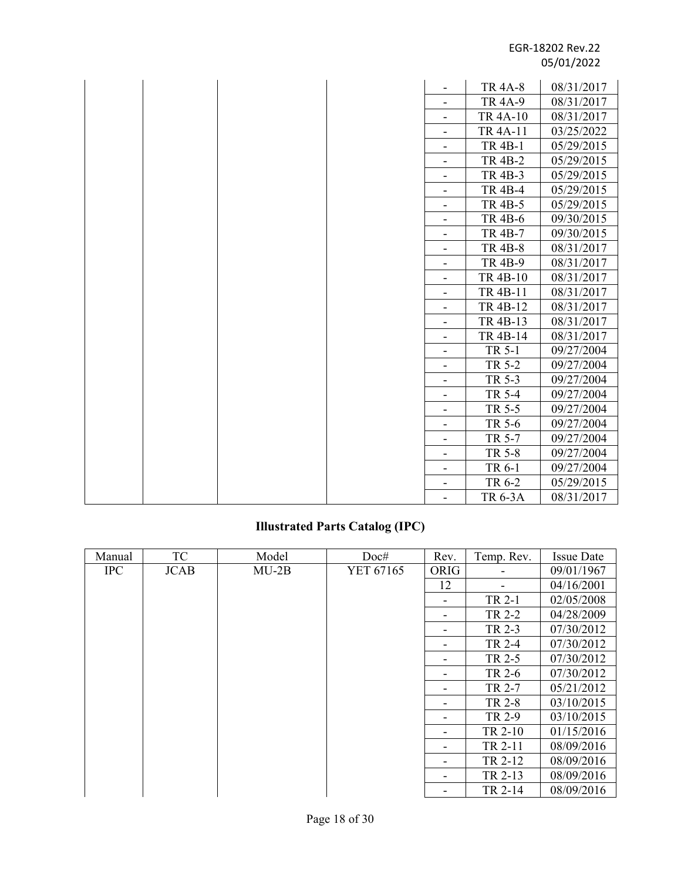|  |  |                              | <b>TR 4A-8</b>  | 08/31/2017 |
|--|--|------------------------------|-----------------|------------|
|  |  |                              | <b>TR 4A-9</b>  | 08/31/2017 |
|  |  | $\overline{\phantom{a}}$     | <b>TR 4A-10</b> | 08/31/2017 |
|  |  |                              | TR 4A-11        | 03/25/2022 |
|  |  | $\overline{\phantom{a}}$     | <b>TR 4B-1</b>  | 05/29/2015 |
|  |  | $\qquad \qquad \blacksquare$ | <b>TR 4B-2</b>  | 05/29/2015 |
|  |  | $\overline{\phantom{a}}$     | <b>TR 4B-3</b>  | 05/29/2015 |
|  |  | $\overline{\phantom{a}}$     | <b>TR 4B-4</b>  | 05/29/2015 |
|  |  | $\overline{\phantom{a}}$     | <b>TR 4B-5</b>  | 05/29/2015 |
|  |  |                              | <b>TR 4B-6</b>  | 09/30/2015 |
|  |  | -                            | <b>TR 4B-7</b>  | 09/30/2015 |
|  |  | -                            | <b>TR 4B-8</b>  | 08/31/2017 |
|  |  |                              | <b>TR 4B-9</b>  | 08/31/2017 |
|  |  | $\overline{\phantom{a}}$     | TR 4B-10        | 08/31/2017 |
|  |  | $\overline{\phantom{a}}$     | TR 4B-11        | 08/31/2017 |
|  |  | $\overline{\phantom{a}}$     | TR 4B-12        | 08/31/2017 |
|  |  | $\overline{\phantom{a}}$     | TR 4B-13        | 08/31/2017 |
|  |  | $\qquad \qquad \blacksquare$ | TR 4B-14        | 08/31/2017 |
|  |  | $\overline{\phantom{a}}$     | TR 5-1          | 09/27/2004 |
|  |  | $\overline{\phantom{a}}$     | TR 5-2          | 09/27/2004 |
|  |  | $\overline{\phantom{a}}$     | TR 5-3          | 09/27/2004 |
|  |  |                              | TR 5-4          | 09/27/2004 |
|  |  | $\overline{\phantom{a}}$     | TR 5-5          | 09/27/2004 |
|  |  | $\overline{\phantom{a}}$     | TR 5-6          | 09/27/2004 |
|  |  | $\overline{\phantom{a}}$     | TR 5-7          | 09/27/2004 |
|  |  | $\overline{\phantom{a}}$     | TR 5-8          | 09/27/2004 |
|  |  | $\overline{\phantom{a}}$     | TR 6-1          | 09/27/2004 |
|  |  |                              | TR 6-2          | 05/29/2015 |
|  |  | $\blacksquare$               | <b>TR 6-3A</b>  | 08/31/2017 |

# **Illustrated Parts Catalog (IPC)**

| Manual     | TC          | Model   | Doc#      | Rev.                     | Temp. Rev. | <b>Issue Date</b> |
|------------|-------------|---------|-----------|--------------------------|------------|-------------------|
| <b>IPC</b> | <b>JCAB</b> | $MU-2B$ | YET 67165 | ORIG                     |            | 09/01/1967        |
|            |             |         |           | 12                       |            | 04/16/2001        |
|            |             |         |           |                          | TR 2-1     | 02/05/2008        |
|            |             |         |           |                          | TR 2-2     | 04/28/2009        |
|            |             |         |           | $\overline{\phantom{0}}$ | TR 2-3     | 07/30/2012        |
|            |             |         |           |                          | TR 2-4     | 07/30/2012        |
|            |             |         |           |                          | TR 2-5     | 07/30/2012        |
|            |             |         |           |                          | TR 2-6     | 07/30/2012        |
|            |             |         |           |                          | TR 2-7     | 05/21/2012        |
|            |             |         |           |                          | TR 2-8     | 03/10/2015        |
|            |             |         |           | $\overline{\phantom{0}}$ | TR 2-9     | 03/10/2015        |
|            |             |         |           |                          | TR 2-10    | 01/15/2016        |
|            |             |         |           |                          | TR 2-11    | 08/09/2016        |
|            |             |         |           |                          | TR 2-12    | 08/09/2016        |
|            |             |         |           |                          | TR 2-13    | 08/09/2016        |
|            |             |         |           |                          | TR 2-14    | 08/09/2016        |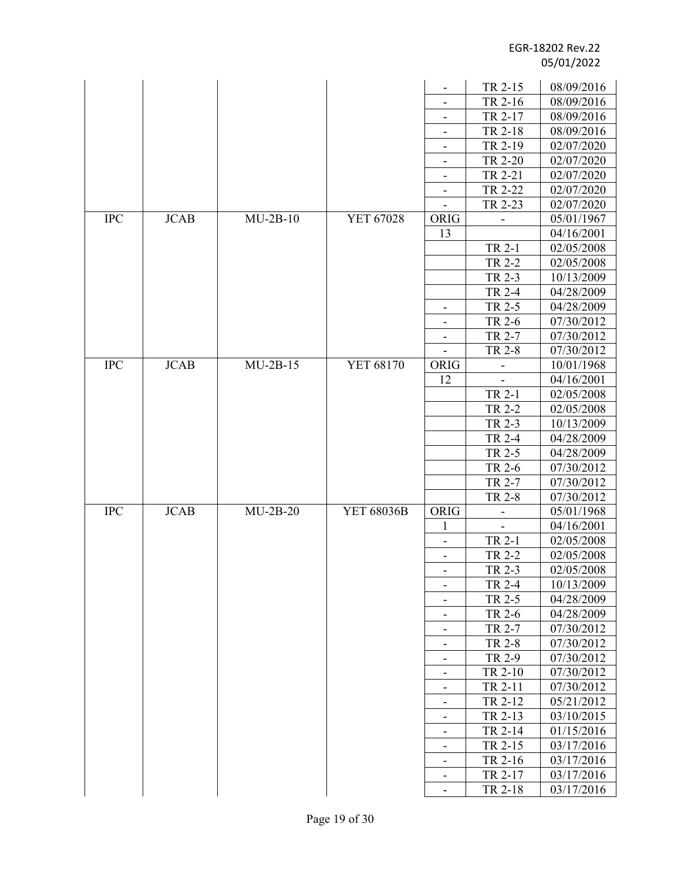|            |             |            |            |                              | TR 2-15                  | 08/09/2016 |
|------------|-------------|------------|------------|------------------------------|--------------------------|------------|
|            |             |            |            |                              | TR 2-16                  | 08/09/2016 |
|            |             |            |            | $\overline{\phantom{a}}$     | TR 2-17                  | 08/09/2016 |
|            |             |            |            | $\overline{\phantom{a}}$     | TR 2-18                  | 08/09/2016 |
|            |             |            |            |                              | TR 2-19                  | 02/07/2020 |
|            |             |            |            |                              | TR 2-20                  | 02/07/2020 |
|            |             |            |            | $\overline{\phantom{a}}$     | TR 2-21                  | 02/07/2020 |
|            |             |            |            |                              | TR 2-22                  | 02/07/2020 |
|            |             |            |            |                              | TR 2-23                  | 02/07/2020 |
| <b>IPC</b> | <b>JCAB</b> | $MU-2B-10$ | YET 67028  | ORIG                         |                          | 05/01/1967 |
|            |             |            |            | 13                           |                          | 04/16/2001 |
|            |             |            |            |                              | TR 2-1                   | 02/05/2008 |
|            |             |            |            |                              | TR 2-2                   | 02/05/2008 |
|            |             |            |            |                              | TR 2-3                   | 10/13/2009 |
|            |             |            |            |                              | TR 2-4                   | 04/28/2009 |
|            |             |            |            | $\qquad \qquad \blacksquare$ | TR 2-5                   | 04/28/2009 |
|            |             |            |            |                              | TR 2-6                   | 07/30/2012 |
|            |             |            |            | $\overline{\phantom{a}}$     | TR 2-7                   | 07/30/2012 |
|            |             |            |            |                              | <b>TR 2-8</b>            | 07/30/2012 |
| <b>IPC</b> | <b>JCAB</b> | $MU-2B-15$ | YET 68170  | ORIG                         | $\qquad \qquad -$        | 10/01/1968 |
|            |             |            |            | 12                           |                          | 04/16/2001 |
|            |             |            |            |                              | TR 2-1                   | 02/05/2008 |
|            |             |            |            |                              | <b>TR 2-2</b>            | 02/05/2008 |
|            |             |            |            |                              | TR 2-3                   | 10/13/2009 |
|            |             |            |            |                              | TR 2-4                   | 04/28/2009 |
|            |             |            |            |                              | TR 2-5                   | 04/28/2009 |
|            |             |            |            |                              | TR 2-6                   | 07/30/2012 |
|            |             |            |            |                              | TR 2-7                   | 07/30/2012 |
|            |             |            |            |                              | TR 2-8                   | 07/30/2012 |
| <b>IPC</b> | <b>JCAB</b> | $MU-2B-20$ | YET 68036B | ORIG                         | $\overline{\phantom{0}}$ | 05/01/1968 |
|            |             |            |            | 1                            |                          | 04/16/2001 |
|            |             |            |            |                              | TR 2-1                   | 02/05/2008 |
|            |             |            |            | $\overline{\phantom{a}}$     | TR 2-2                   | 02/05/2008 |
|            |             |            |            |                              | TR 2-3                   | 02/05/2008 |
|            |             |            |            | $\qquad \qquad \blacksquare$ | <b>TR 2-4</b>            | 10/13/2009 |
|            |             |            |            | $\overline{\phantom{a}}$     | TR 2-5                   | 04/28/2009 |
|            |             |            |            |                              | TR 2-6                   | 04/28/2009 |
|            |             |            |            | $\overline{\phantom{a}}$     | TR 2-7                   | 07/30/2012 |
|            |             |            |            | $\overline{\phantom{a}}$     | TR 2-8                   | 07/30/2012 |
|            |             |            |            | $\overline{\phantom{a}}$     | TR 2-9                   | 07/30/2012 |
|            |             |            |            | $\overline{\phantom{a}}$     | TR 2-10                  | 07/30/2012 |
|            |             |            |            |                              | TR 2-11                  | 07/30/2012 |
|            |             |            |            |                              | TR 2-12                  | 05/21/2012 |
|            |             |            |            | $\overline{\phantom{a}}$     | TR 2-13                  | 03/10/2015 |
|            |             |            |            |                              | TR 2-14                  | 01/15/2016 |
|            |             |            |            | $\overline{\phantom{a}}$     | TR 2-15                  | 03/17/2016 |
|            |             |            |            |                              | TR 2-16                  | 03/17/2016 |
|            |             |            |            | -                            | TR 2-17                  | 03/17/2016 |
|            |             |            |            | $\blacksquare$               | TR 2-18                  | 03/17/2016 |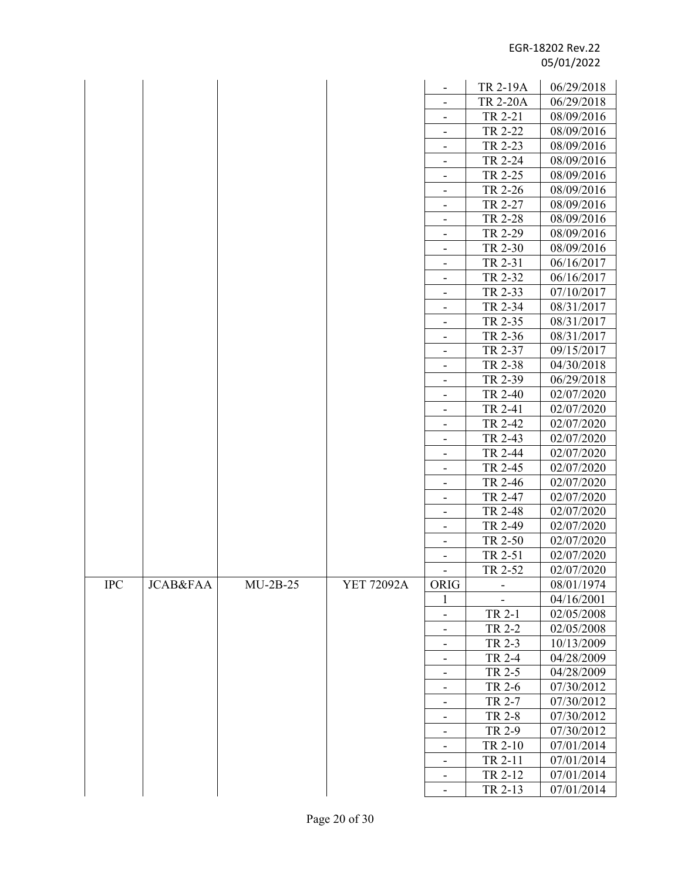|           |                     |            |            |                               | TR 2-19A           | 06/29/2018               |
|-----------|---------------------|------------|------------|-------------------------------|--------------------|--------------------------|
|           |                     |            |            | $\overline{\phantom{a}}$      | <b>TR 2-20A</b>    | 06/29/2018               |
|           |                     |            |            |                               | TR 2-21            | 08/09/2016               |
|           |                     |            |            |                               | TR 2-22            | 08/09/2016               |
|           |                     |            |            |                               | TR 2-23            | 08/09/2016               |
|           |                     |            |            | $\overline{\phantom{a}}$      | TR 2-24            | 08/09/2016               |
|           |                     |            |            |                               | TR 2-25            | 08/09/2016               |
|           |                     |            |            | $\qquad \qquad -$             | TR 2-26            | 08/09/2016               |
|           |                     |            |            |                               | TR 2-27            | 08/09/2016               |
|           |                     |            |            | $\overline{\phantom{a}}$      | TR 2-28            | 08/09/2016               |
|           |                     |            |            |                               | TR 2-29            | 08/09/2016               |
|           |                     |            |            |                               | TR 2-30            | 08/09/2016               |
|           |                     |            |            | -                             | TR 2-31            | 06/16/2017               |
|           |                     |            |            | $\qquad \qquad -$             | TR 2-32            | 06/16/2017               |
|           |                     |            |            |                               | TR 2-33            | 07/10/2017               |
|           |                     |            |            | $\overline{\phantom{a}}$      | TR 2-34            | 08/31/2017               |
|           |                     |            |            |                               | TR 2-35            | 08/31/2017               |
|           |                     |            |            | -                             | TR 2-36            | 08/31/2017               |
|           |                     |            |            | -                             | TR 2-37            | 09/15/2017               |
|           |                     |            |            | $\overline{\phantom{a}}$      | TR 2-38            |                          |
|           |                     |            |            | -                             |                    | 04/30/2018               |
|           |                     |            |            |                               | TR 2-39            | 06/29/2018<br>02/07/2020 |
|           |                     |            |            | -                             | TR 2-40            |                          |
|           |                     |            |            | -                             | TR 2-41            | 02/07/2020               |
|           |                     |            |            | $\overline{\phantom{a}}$      | TR 2-42            | 02/07/2020               |
|           |                     |            |            |                               | TR 2-43<br>TR 2-44 | 02/07/2020               |
|           |                     |            |            | $\overline{\phantom{a}}$      |                    | 02/07/2020               |
|           |                     |            |            |                               | TR 2-45<br>TR 2-46 | 02/07/2020<br>02/07/2020 |
|           |                     |            |            | $\qquad \qquad -$             |                    | 02/07/2020               |
|           |                     |            |            |                               | TR 2-47<br>TR 2-48 | 02/07/2020               |
|           |                     |            |            | -<br>$\overline{\phantom{a}}$ | TR 2-49            | 02/07/2020               |
|           |                     |            |            |                               | TR 2-50            | 02/07/2020               |
|           |                     |            |            |                               | TR 2-51            | 02/07/2020               |
|           |                     |            |            | -                             | TR 2-52            | 02/07/2020               |
| $\rm IPC$ | <b>JCAB&amp;FAA</b> | $MU-2B-25$ | YET 72092A | ORIG                          |                    | 08/01/1974               |
|           |                     |            |            | 1                             |                    | 04/16/2001               |
|           |                     |            |            |                               | TR 2-1             | 02/05/2008               |
|           |                     |            |            | $\overline{\phantom{a}}$      | TR 2-2             | 02/05/2008               |
|           |                     |            |            | -                             | TR 2-3             | 10/13/2009               |
|           |                     |            |            | $\qquad \qquad -$             | TR 2-4             | 04/28/2009               |
|           |                     |            |            |                               | TR 2-5             | 04/28/2009               |
|           |                     |            |            | $\overline{\phantom{a}}$      | TR 2-6             |                          |
|           |                     |            |            |                               | TR 2-7             | 07/30/2012<br>07/30/2012 |
|           |                     |            |            | -                             | TR 2-8             | 07/30/2012               |
|           |                     |            |            | -                             | TR 2-9             | 07/30/2012               |
|           |                     |            |            | $\overline{\phantom{a}}$      | TR 2-10            | 07/01/2014               |
|           |                     |            |            | -                             | TR 2-11            | 07/01/2014               |
|           |                     |            |            | -                             | TR 2-12            | 07/01/2014               |
|           |                     |            |            | -                             |                    |                          |
|           |                     |            |            | $\overline{\phantom{a}}$      | TR 2-13            | 07/01/2014               |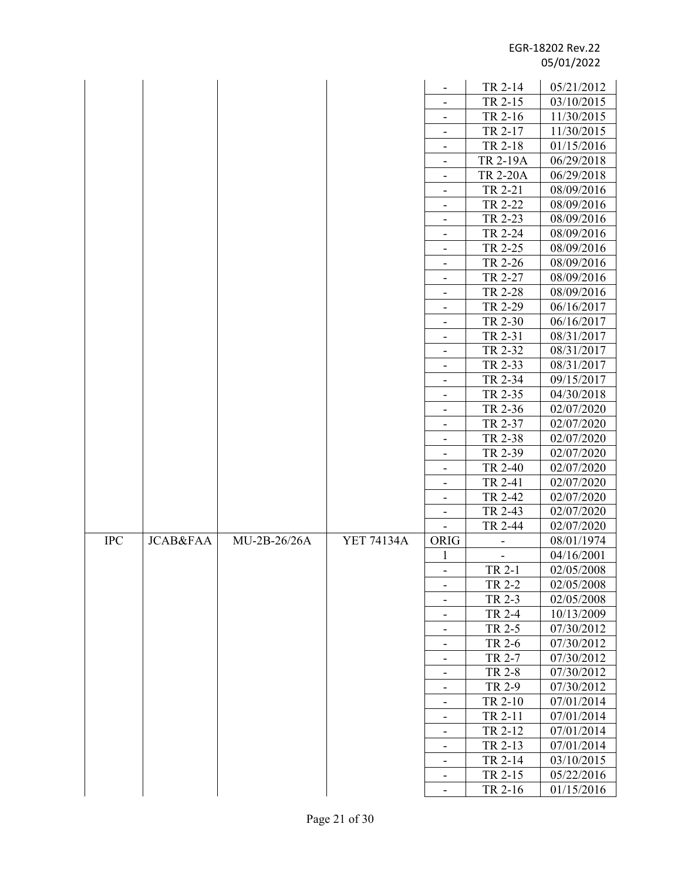|            |                     |                |                   |                              | TR 2-14                      | 05/21/2012 |
|------------|---------------------|----------------|-------------------|------------------------------|------------------------------|------------|
|            |                     |                |                   | $\overline{\phantom{a}}$     | TR 2-15                      | 03/10/2015 |
|            |                     |                |                   |                              | TR 2-16                      | 11/30/2015 |
|            |                     |                |                   |                              | TR 2-17                      | 11/30/2015 |
|            |                     |                |                   | $\qquad \qquad \blacksquare$ | TR 2-18                      | 01/15/2016 |
|            |                     |                |                   | -                            | TR 2-19A                     | 06/29/2018 |
|            |                     |                |                   | $\overline{\phantom{a}}$     | <b>TR 2-20A</b>              | 06/29/2018 |
|            |                     |                |                   | $\blacksquare$               | TR 2-21                      | 08/09/2016 |
|            |                     |                |                   | -                            | TR 2-22                      | 08/09/2016 |
|            |                     |                |                   | $\overline{\phantom{a}}$     | TR 2-23                      | 08/09/2016 |
|            |                     |                |                   |                              | TR 2-24                      | 08/09/2016 |
|            |                     |                |                   | $\overline{\phantom{a}}$     | TR 2-25                      | 08/09/2016 |
|            |                     |                |                   | $\overline{\phantom{a}}$     | TR 2-26                      | 08/09/2016 |
|            |                     |                |                   | $\overline{\phantom{a}}$     | TR 2-27                      | 08/09/2016 |
|            |                     |                |                   | $\overline{\phantom{a}}$     | TR 2-28                      | 08/09/2016 |
|            |                     |                |                   |                              | TR 2-29                      | 06/16/2017 |
|            |                     |                |                   | $\overline{\phantom{a}}$     | TR 2-30                      | 06/16/2017 |
|            |                     |                |                   | $\overline{\phantom{a}}$     | TR 2-31                      | 08/31/2017 |
|            |                     |                |                   |                              | TR 2-32                      | 08/31/2017 |
|            |                     |                |                   | $\overline{\phantom{a}}$     | TR 2-33                      | 08/31/2017 |
|            |                     |                |                   | $\frac{1}{2}$                | TR 2-34                      | 09/15/2017 |
|            |                     |                |                   | $\overline{\phantom{a}}$     | TR 2-35                      | 04/30/2018 |
|            |                     |                |                   | $\overline{\phantom{a}}$     | TR 2-36                      | 02/07/2020 |
|            |                     |                |                   |                              | TR 2-37                      | 02/07/2020 |
|            |                     |                |                   | $\overline{\phantom{a}}$     | TR 2-38                      | 02/07/2020 |
|            |                     |                |                   |                              | TR 2-39                      | 02/07/2020 |
|            |                     |                |                   | -                            | TR 2-40                      | 02/07/2020 |
|            |                     |                |                   | $\overline{\phantom{a}}$     | TR 2-41                      | 02/07/2020 |
|            |                     |                |                   | $\overline{\phantom{a}}$     | TR 2-42                      | 02/07/2020 |
|            |                     |                |                   | $\overline{\phantom{a}}$     | TR 2-43                      | 02/07/2020 |
|            |                     |                |                   |                              | TR 2-44                      | 02/07/2020 |
| <b>IPC</b> | <b>JCAB&amp;FAA</b> | $MU-2B-26/26A$ | <b>YET 74134A</b> | ORIG                         | $\qquad \qquad \blacksquare$ | 08/01/1974 |
|            |                     |                |                   | 1                            |                              | 04/16/2001 |
|            |                     |                |                   |                              | TR 2-1                       | 02/05/2008 |
|            |                     |                |                   |                              | TR 2-2                       | 02/05/2008 |
|            |                     |                |                   | $\overline{\phantom{a}}$     | TR 2-3                       | 02/05/2008 |
|            |                     |                |                   | $\overline{\phantom{0}}$     | TR 2-4                       | 10/13/2009 |
|            |                     |                |                   | $\overline{\phantom{a}}$     | TR 2-5                       | 07/30/2012 |
|            |                     |                |                   |                              | TR 2-6                       | 07/30/2012 |
|            |                     |                |                   | $\overline{\phantom{a}}$     | TR 2-7                       | 07/30/2012 |
|            |                     |                |                   | $\overline{\phantom{a}}$     | TR 2-8                       | 07/30/2012 |
|            |                     |                |                   |                              | TR 2-9                       | 07/30/2012 |
|            |                     |                |                   | $\overline{\phantom{a}}$     | TR 2-10                      | 07/01/2014 |
|            |                     |                |                   | $\overline{\phantom{a}}$     | TR 2-11                      | 07/01/2014 |
|            |                     |                |                   |                              | TR 2-12                      | 07/01/2014 |
|            |                     |                |                   | $\blacksquare$               | TR 2-13                      | 07/01/2014 |
|            |                     |                |                   | $\qquad \qquad \blacksquare$ | TR 2-14                      | 03/10/2015 |
|            |                     |                |                   | $\overline{\phantom{a}}$     | TR 2-15                      | 05/22/2016 |
|            |                     |                |                   | $\overline{\phantom{a}}$     | TR 2-16                      | 01/15/2016 |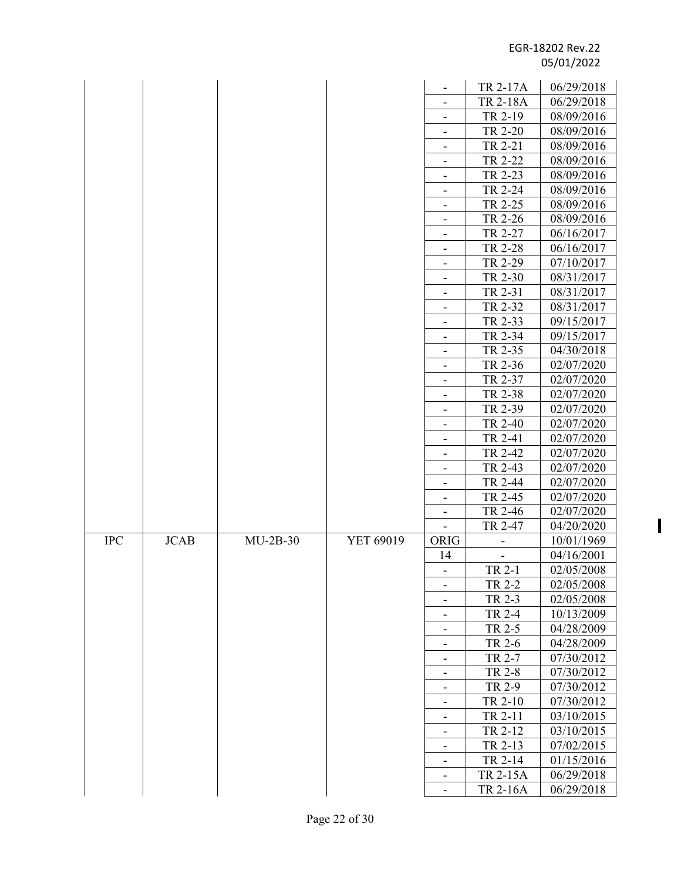$\mathbf{I}$ 

|            |             |            |           |                                                      | TR 2-17A        | 06/29/2018 |
|------------|-------------|------------|-----------|------------------------------------------------------|-----------------|------------|
|            |             |            |           | $\overline{\phantom{a}}$                             | <b>TR 2-18A</b> | 06/29/2018 |
|            |             |            |           |                                                      | TR 2-19         | 08/09/2016 |
|            |             |            |           |                                                      | TR 2-20         | 08/09/2016 |
|            |             |            |           |                                                      | TR 2-21         | 08/09/2016 |
|            |             |            |           | -                                                    | TR 2-22         | 08/09/2016 |
|            |             |            |           | $\overline{\phantom{a}}$                             | TR 2-23         | 08/09/2016 |
|            |             |            |           |                                                      | TR 2-24         | 08/09/2016 |
|            |             |            |           | -                                                    | TR 2-25         | 08/09/2016 |
|            |             |            |           | $\overline{\phantom{a}}$                             | TR 2-26         | 08/09/2016 |
|            |             |            |           |                                                      | TR 2-27         | 06/16/2017 |
|            |             |            |           | $\overline{\phantom{a}}$                             | TR 2-28         | 06/16/2017 |
|            |             |            |           | $\overline{\phantom{a}}$                             | TR 2-29         | 07/10/2017 |
|            |             |            |           |                                                      | TR 2-30         | 08/31/2017 |
|            |             |            |           | $\overline{\phantom{a}}$                             | TR 2-31         | 08/31/2017 |
|            |             |            |           |                                                      | TR 2-32         | 08/31/2017 |
|            |             |            |           |                                                      | TR 2-33         | 09/15/2017 |
|            |             |            |           | -                                                    | TR 2-34         | 09/15/2017 |
|            |             |            |           | -                                                    | TR 2-35         | 04/30/2018 |
|            |             |            |           |                                                      | TR 2-36         | 02/07/2020 |
|            |             |            |           | $\overline{\phantom{a}}$<br>$\overline{\phantom{a}}$ | TR 2-37         | 02/07/2020 |
|            |             |            |           |                                                      | TR 2-38         | 02/07/2020 |
|            |             |            |           | $\qquad \qquad -$                                    | TR 2-39         | 02/07/2020 |
|            |             |            |           | -                                                    | TR 2-40         | 02/07/2020 |
|            |             |            |           | $\overline{\phantom{a}}$                             | TR 2-41         | 02/07/2020 |
|            |             |            |           |                                                      | TR 2-42         | 02/07/2020 |
|            |             |            |           | -                                                    | TR 2-43         | 02/07/2020 |
|            |             |            |           | $\overline{\phantom{a}}$                             | TR 2-44         | 02/07/2020 |
|            |             |            |           | -                                                    | TR 2-45         | 02/07/2020 |
|            |             |            |           | $\overline{\phantom{a}}$                             | TR 2-46         | 02/07/2020 |
|            |             |            |           |                                                      | TR 2-47         | 04/20/2020 |
| <b>IPC</b> | <b>JCAB</b> | $MU-2B-30$ | YET 69019 | ORIG                                                 | -               | 10/01/1969 |
|            |             |            |           | 14                                                   |                 | 04/16/2001 |
|            |             |            |           |                                                      | TR 2-1          | 02/05/2008 |
|            |             |            |           |                                                      | TR 2-2          | 02/05/2008 |
|            |             |            |           | $\overline{\phantom{a}}$                             | TR 2-3          | 02/05/2008 |
|            |             |            |           | $\qquad \qquad \blacksquare$                         | TR 2-4          | 10/13/2009 |
|            |             |            |           | -                                                    | TR 2-5          | 04/28/2009 |
|            |             |            |           |                                                      | TR 2-6          | 04/28/2009 |
|            |             |            |           |                                                      | TR 2-7          | 07/30/2012 |
|            |             |            |           | $\overline{\phantom{a}}$                             | TR 2-8          | 07/30/2012 |
|            |             |            |           |                                                      | TR 2-9          | 07/30/2012 |
|            |             |            |           | -                                                    | TR 2-10         | 07/30/2012 |
|            |             |            |           | -                                                    | TR 2-11         | 03/10/2015 |
|            |             |            |           |                                                      | TR 2-12         | 03/10/2015 |
|            |             |            |           | $\overline{\phantom{a}}$                             | TR 2-13         | 07/02/2015 |
|            |             |            |           |                                                      | TR 2-14         | 01/15/2016 |
|            |             |            |           | -                                                    | TR 2-15A        | 06/29/2018 |
|            |             |            |           | $\overline{\phantom{a}}$                             | TR 2-16A        | 06/29/2018 |
|            |             |            |           |                                                      |                 |            |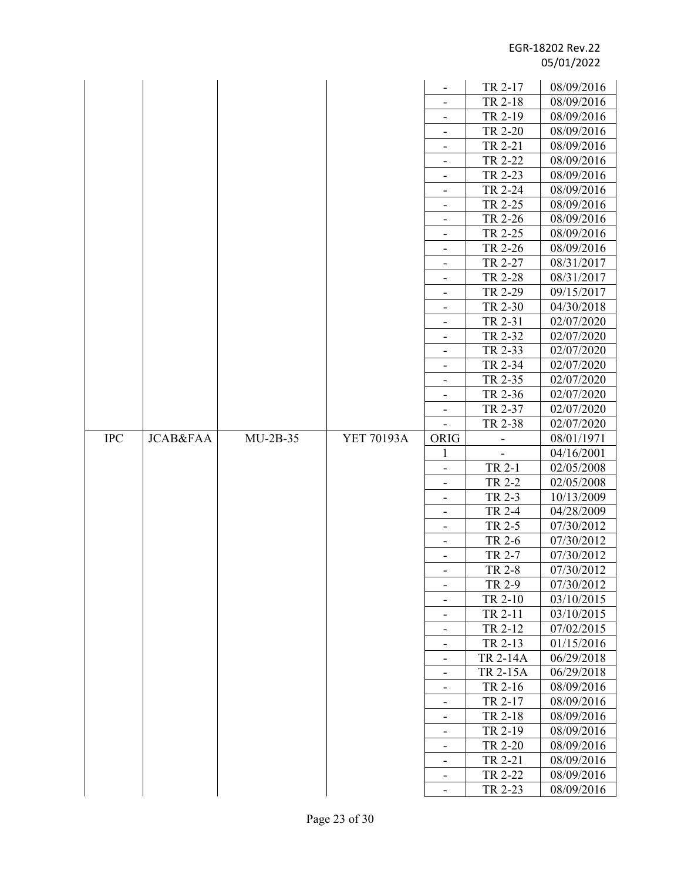|            |                     |            |            |                               | TR 2-17         | 08/09/2016               |
|------------|---------------------|------------|------------|-------------------------------|-----------------|--------------------------|
|            |                     |            |            |                               | TR 2-18         | 08/09/2016               |
|            |                     |            |            |                               | TR 2-19         | 08/09/2016               |
|            |                     |            |            | $\overline{\phantom{a}}$      | TR 2-20         | 08/09/2016               |
|            |                     |            |            | $\overline{\phantom{a}}$      | TR 2-21         | 08/09/2016               |
|            |                     |            |            |                               | TR 2-22         | 08/09/2016               |
|            |                     |            |            | $\overline{\phantom{a}}$      | TR 2-23         | 08/09/2016               |
|            |                     |            |            |                               | TR 2-24         | 08/09/2016               |
|            |                     |            |            | $\overline{\phantom{a}}$      | TR 2-25         | 08/09/2016               |
|            |                     |            |            | $\qquad \qquad \blacksquare$  | TR 2-26         | 08/09/2016               |
|            |                     |            |            |                               | TR 2-25         | 08/09/2016               |
|            |                     |            |            | $\overline{\phantom{a}}$      | TR 2-26         | 08/09/2016               |
|            |                     |            |            | $\overline{\phantom{a}}$      |                 |                          |
|            |                     |            |            | -                             | TR 2-27         | 08/31/2017               |
|            |                     |            |            | $\overline{\phantom{a}}$      | TR 2-28         | 08/31/2017               |
|            |                     |            |            | $\frac{1}{2}$                 | TR 2-29         | 09/15/2017               |
|            |                     |            |            |                               | TR 2-30         | 04/30/2018<br>02/07/2020 |
|            |                     |            |            | $\overline{\phantom{a}}$      | TR 2-31         |                          |
|            |                     |            |            |                               | TR 2-32         | 02/07/2020               |
|            |                     |            |            | $\overline{\phantom{a}}$      | TR 2-33         | 02/07/2020               |
|            |                     |            |            |                               | TR 2-34         | 02/07/2020               |
|            |                     |            |            | $\overline{\phantom{a}}$      | TR 2-35         | 02/07/2020               |
|            |                     |            |            | $\qquad \qquad \blacksquare$  | TR 2-36         | 02/07/2020               |
|            |                     |            |            | -                             | TR 2-37         | 02/07/2020               |
|            |                     | $MU-2B-35$ |            | $\overline{\phantom{a}}$      | TR 2-38         | 02/07/2020               |
| <b>IPC</b> | <b>JCAB&amp;FAA</b> |            | YET 70193A | <b>ORIG</b>                   |                 | 08/01/1971               |
|            |                     |            |            | 1                             | TR 2-1          | 04/16/2001               |
|            |                     |            |            | $\overline{\phantom{a}}$      | TR 2-2          | 02/05/2008<br>02/05/2008 |
|            |                     |            |            | $\frac{1}{2}$                 | TR 2-3          | 10/13/2009               |
|            |                     |            |            | $\overline{\phantom{a}}$      | TR 2-4          | 04/28/2009               |
|            |                     |            |            | $\overline{\phantom{a}}$      | TR 2-5          | 07/30/2012               |
|            |                     |            |            | $\blacksquare$                | TR 2-6          | 07/30/2012               |
|            |                     |            |            |                               | TR 2-7          | 07/30/2012               |
|            |                     |            |            |                               | TR 2-8          | 07/30/2012               |
|            |                     |            |            |                               | TR 2-9          | 07/30/2012               |
|            |                     |            |            | $\overline{\phantom{a}}$      | TR 2-10         | 03/10/2015               |
|            |                     |            |            | $\overline{\phantom{a}}$      | TR 2-11         | 03/10/2015               |
|            |                     |            |            | $\qquad \qquad \blacksquare$  | TR 2-12         | 07/02/2015               |
|            |                     |            |            |                               | TR 2-13         | 01/15/2016               |
|            |                     |            |            | -                             | <b>TR 2-14A</b> | 06/29/2018               |
|            |                     |            |            | -<br>$\overline{\phantom{a}}$ | TR 2-15A        | 06/29/2018               |
|            |                     |            |            | $\overline{\phantom{a}}$      | TR 2-16         | 08/09/2016               |
|            |                     |            |            | $\overline{\phantom{a}}$      | TR 2-17         | 08/09/2016               |
|            |                     |            |            |                               | TR 2-18         | 08/09/2016               |
|            |                     |            |            | $\overline{\phantom{a}}$      | TR 2-19         | 08/09/2016               |
|            |                     |            |            |                               | TR 2-20         | 08/09/2016               |
|            |                     |            |            | $\overline{\phantom{a}}$      | TR 2-21         | 08/09/2016               |
|            |                     |            |            | $\overline{\phantom{a}}$      | TR 2-22         | 08/09/2016               |
|            |                     |            |            |                               | TR 2-23         | 08/09/2016               |
|            |                     |            |            |                               |                 |                          |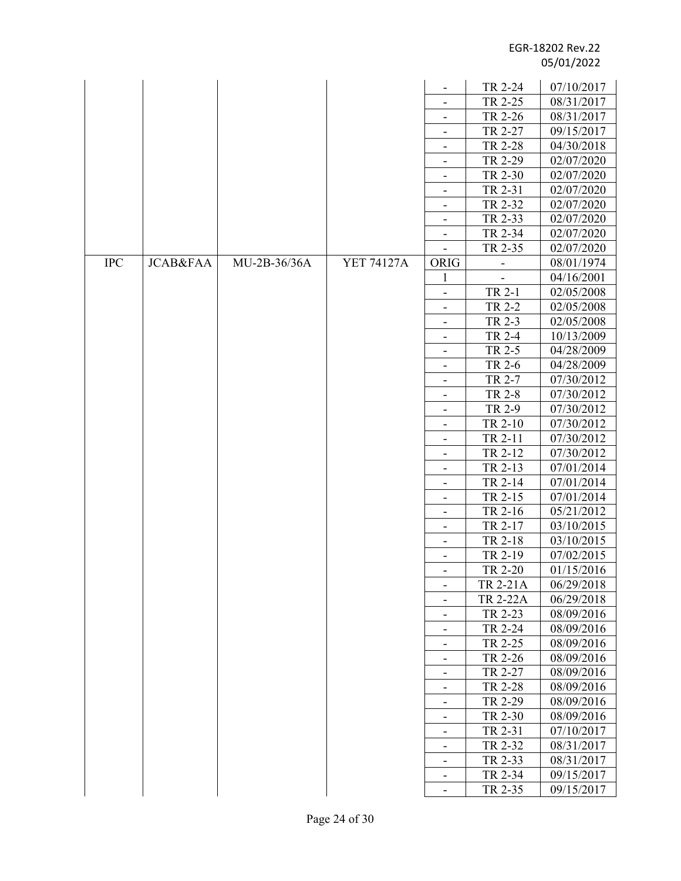|            |                     |              |                   |                              |                    | 07/10/2017 |
|------------|---------------------|--------------|-------------------|------------------------------|--------------------|------------|
|            |                     |              |                   | $\overline{\phantom{a}}$     | TR 2-24<br>TR 2-25 | 08/31/2017 |
|            |                     |              |                   |                              | TR 2-26            |            |
|            |                     |              |                   | $\qquad \qquad \blacksquare$ |                    | 08/31/2017 |
|            |                     |              |                   | $\qquad \qquad \blacksquare$ | TR 2-27            | 09/15/2017 |
|            |                     |              |                   | $\overline{\phantom{a}}$     | TR 2-28            | 04/30/2018 |
|            |                     |              |                   |                              | TR 2-29            | 02/07/2020 |
|            |                     |              |                   | $\overline{\phantom{a}}$     | TR 2-30            | 02/07/2020 |
|            |                     |              |                   | $\overline{\phantom{a}}$     | TR 2-31            | 02/07/2020 |
|            |                     |              |                   |                              | TR 2-32            | 02/07/2020 |
|            |                     |              |                   | $\overline{\phantom{a}}$     | TR 2-33            | 02/07/2020 |
|            |                     |              |                   |                              | TR 2-34            | 02/07/2020 |
|            |                     |              |                   |                              | TR 2-35            | 02/07/2020 |
| <b>IPC</b> | <b>JCAB&amp;FAA</b> | MU-2B-36/36A | <b>YET 74127A</b> | ORIG                         | -                  | 08/01/1974 |
|            |                     |              |                   | 1                            |                    | 04/16/2001 |
|            |                     |              |                   | $\overline{\phantom{a}}$     | TR 2-1             | 02/05/2008 |
|            |                     |              |                   | $\overline{\phantom{a}}$     | TR 2-2             | 02/05/2008 |
|            |                     |              |                   |                              | TR 2-3             | 02/05/2008 |
|            |                     |              |                   | $\overline{\phantom{a}}$     | <b>TR 2-4</b>      | 10/13/2009 |
|            |                     |              |                   |                              | TR 2-5             | 04/28/2009 |
|            |                     |              |                   | $\overline{\phantom{a}}$     | TR 2-6             | 04/28/2009 |
|            |                     |              |                   | $\overline{\phantom{a}}$     | TR 2-7             | 07/30/2012 |
|            |                     |              |                   |                              | <b>TR 2-8</b>      | 07/30/2012 |
|            |                     |              |                   | $\overline{a}$               | TR 2-9             | 07/30/2012 |
|            |                     |              |                   | $\overline{\phantom{a}}$     | TR 2-10            | 07/30/2012 |
|            |                     |              |                   | -                            | TR 2-11            | 07/30/2012 |
|            |                     |              |                   | $\overline{\phantom{a}}$     | TR 2-12            | 07/30/2012 |
|            |                     |              |                   |                              | TR 2-13            | 07/01/2014 |
|            |                     |              |                   | $\overline{\phantom{a}}$     | TR 2-14            | 07/01/2014 |
|            |                     |              |                   | $\overline{\phantom{a}}$     | TR 2-15            | 07/01/2014 |
|            |                     |              |                   |                              | TR 2-16            | 05/21/2012 |
|            |                     |              |                   | $\overline{\phantom{a}}$     | TR 2-17            | 03/10/2015 |
|            |                     |              |                   |                              | TR 2-18            | 03/10/2015 |
|            |                     |              |                   |                              | TR 2-19            | 07/02/2015 |
|            |                     |              |                   |                              | TR 2-20            | 01/15/2016 |
|            |                     |              |                   |                              | TR 2-21A           | 06/29/2018 |
|            |                     |              |                   | $\overline{\phantom{a}}$     | <b>TR 2-22A</b>    | 06/29/2018 |
|            |                     |              |                   |                              | TR 2-23            | 08/09/2016 |
|            |                     |              |                   |                              | TR 2-24            | 08/09/2016 |
|            |                     |              |                   | $\overline{\phantom{a}}$     | TR 2-25            | 08/09/2016 |
|            |                     |              |                   | $\overline{\phantom{a}}$     | TR 2-26            | 08/09/2016 |
|            |                     |              |                   | $\overline{\phantom{a}}$     | TR 2-27            | 08/09/2016 |
|            |                     |              |                   | $\qquad \qquad \blacksquare$ | TR 2-28            | 08/09/2016 |
|            |                     |              |                   |                              | TR 2-29            | 08/09/2016 |
|            |                     |              |                   | $\overline{\phantom{a}}$     | TR 2-30            | 08/09/2016 |
|            |                     |              |                   |                              | TR 2-31            | 07/10/2017 |
|            |                     |              |                   | -                            | TR 2-32            | 08/31/2017 |
|            |                     |              |                   | $\overline{\phantom{a}}$     | TR 2-33            | 08/31/2017 |
|            |                     |              |                   |                              | TR 2-34            | 09/15/2017 |
|            |                     |              |                   | $\overline{\phantom{a}}$     | TR 2-35            | 09/15/2017 |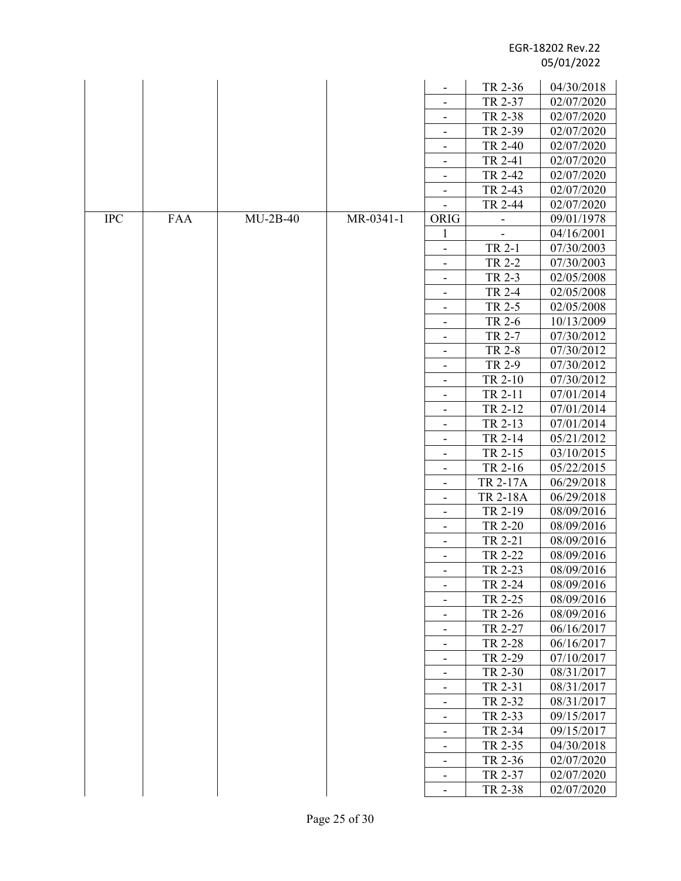|            |            |            |           |                              | TR 2-36            | 04/30/2018               |
|------------|------------|------------|-----------|------------------------------|--------------------|--------------------------|
|            |            |            |           |                              | TR 2-37            | 02/07/2020               |
|            |            |            |           | $\overline{\phantom{a}}$     | TR 2-38            | 02/07/2020               |
|            |            |            |           | $\qquad \qquad \blacksquare$ | TR 2-39            | 02/07/2020               |
|            |            |            |           |                              | TR 2-40            | 02/07/2020               |
|            |            |            |           | $\overline{\phantom{m}}$     | TR 2-41            | 02/07/2020               |
|            |            |            |           |                              | TR 2-42            | 02/07/2020               |
|            |            |            |           | $\overline{\phantom{a}}$     | TR 2-43            | 02/07/2020               |
|            |            |            |           | $\overline{\phantom{a}}$     | TR 2-44            | 02/07/2020               |
| <b>IPC</b> | <b>FAA</b> | $MU-2B-40$ | MR-0341-1 | <b>ORIG</b>                  |                    | 09/01/1978               |
|            |            |            |           | 1                            |                    | 04/16/2001               |
|            |            |            |           | $\overline{\phantom{0}}$     | TR 2-1             | 07/30/2003               |
|            |            |            |           | $\qquad \qquad \blacksquare$ | TR 2-2             | 07/30/2003               |
|            |            |            |           | $\overline{\phantom{a}}$     | TR 2-3             | 02/05/2008               |
|            |            |            |           |                              | <b>TR 2-4</b>      | 02/05/2008               |
|            |            |            |           |                              | TR 2-5             | 02/05/2008               |
|            |            |            |           | $\overline{\phantom{a}}$     | TR 2-6             | 10/13/2009               |
|            |            |            |           |                              | TR 2-7             | 07/30/2012               |
|            |            |            |           | $\overline{\phantom{a}}$     | TR 2-8             | 07/30/2012               |
|            |            |            |           |                              | TR 2-9             | 07/30/2012               |
|            |            |            |           | $\overline{\phantom{a}}$     | TR 2-10            | 07/30/2012               |
|            |            |            |           | $\overline{\phantom{a}}$     | TR 2-11            | 07/01/2014               |
|            |            |            |           |                              | TR 2-12            | 07/01/2014               |
|            |            |            |           | $\overline{\phantom{a}}$     | TR 2-13            | 07/01/2014               |
|            |            |            |           |                              | TR 2-14            | 05/21/2012               |
|            |            |            |           |                              | TR 2-15            | 03/10/2015               |
|            |            |            |           | $\overline{\phantom{m}}$     | TR 2-16            | 05/22/2015               |
|            |            |            |           | $\overline{a}$               | TR 2-17A           | 06/29/2018               |
|            |            |            |           | $\overline{\phantom{a}}$     | <b>TR 2-18A</b>    | 06/29/2018               |
|            |            |            |           | $\overline{\phantom{a}}$     | TR 2-19            | 08/09/2016               |
|            |            |            |           |                              | TR 2-20            | 08/09/2016               |
|            |            |            |           | $\blacksquare$               | TR 2-21            | 08/09/2016               |
|            |            |            |           | $\overline{\phantom{0}}$     | TR 2-22            | 08/09/2016               |
|            |            |            |           |                              | TR 2-23            | 08/09/2016               |
|            |            |            |           | $\qquad \qquad \blacksquare$ | TR 2-24            | 08/09/2016               |
|            |            |            |           |                              | TR 2-25            | 08/09/2016               |
|            |            |            |           | $\overline{\phantom{m}}$     | TR 2-26            | 08/09/2016               |
|            |            |            |           |                              | TR 2-27            | 06/16/2017               |
|            |            |            |           | $\qquad \qquad \blacksquare$ | TR 2-28            | 06/16/2017               |
|            |            |            |           | $\overline{\phantom{a}}$     | TR 2-29            | 07/10/2017               |
|            |            |            |           |                              | TR 2-30            | 08/31/2017               |
|            |            |            |           |                              | TR 2-31            | 08/31/2017               |
|            |            |            |           |                              | TR 2-32            | 08/31/2017               |
|            |            |            |           |                              | TR 2-33            | 09/15/2017               |
|            |            |            |           | $\overline{\phantom{a}}$     | TR 2-34            | 09/15/2017               |
|            |            |            |           |                              | TR 2-35<br>TR 2-36 | 04/30/2018<br>02/07/2020 |
|            |            |            |           |                              | TR 2-37            | 02/07/2020               |
|            |            |            |           | $\overline{\phantom{a}}$     | TR 2-38            | 02/07/2020               |
|            |            |            |           | $\overline{\phantom{a}}$     |                    |                          |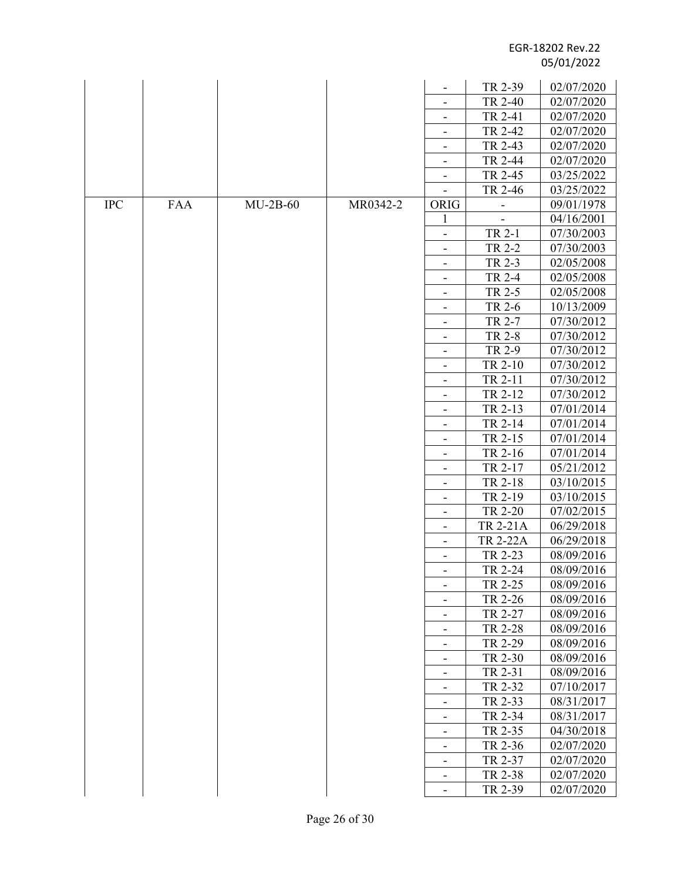|            |     |            |          |                              | TR 2-39         | 02/07/2020 |
|------------|-----|------------|----------|------------------------------|-----------------|------------|
|            |     |            |          |                              | TR 2-40         | 02/07/2020 |
|            |     |            |          |                              | TR 2-41         | 02/07/2020 |
|            |     |            |          | $\overline{\phantom{a}}$     | TR 2-42         | 02/07/2020 |
|            |     |            |          | $\qquad \qquad -$            | TR 2-43         |            |
|            |     |            |          |                              |                 | 02/07/2020 |
|            |     |            |          | $\overline{\phantom{a}}$     | TR 2-44         | 02/07/2020 |
|            |     |            |          |                              | TR 2-45         | 03/25/2022 |
|            |     |            |          |                              | TR 2-46         | 03/25/2022 |
| <b>IPC</b> | FAA | $MU-2B-60$ | MR0342-2 | ORIG                         |                 | 09/01/1978 |
|            |     |            |          | $\mathbf{1}$                 |                 | 04/16/2001 |
|            |     |            |          | $\overline{\phantom{a}}$     | TR 2-1          | 07/30/2003 |
|            |     |            |          | $\qquad \qquad \blacksquare$ | TR 2-2          | 07/30/2003 |
|            |     |            |          | -                            | TR 2-3          | 02/05/2008 |
|            |     |            |          | $\overline{\phantom{a}}$     | TR 2-4          | 02/05/2008 |
|            |     |            |          | $\overline{\phantom{a}}$     | TR 2-5          | 02/05/2008 |
|            |     |            |          | $\overline{\phantom{a}}$     | TR 2-6          | 10/13/2009 |
|            |     |            |          | $\overline{\phantom{a}}$     | TR 2-7          | 07/30/2012 |
|            |     |            |          |                              | TR 2-8          | 07/30/2012 |
|            |     |            |          | $\overline{\phantom{a}}$     | TR 2-9          | 07/30/2012 |
|            |     |            |          |                              | TR 2-10         | 07/30/2012 |
|            |     |            |          | $\overline{\phantom{a}}$     | TR 2-11         | 07/30/2012 |
|            |     |            |          | -                            | TR 2-12         | 07/30/2012 |
|            |     |            |          | $\overline{\phantom{a}}$     | TR 2-13         | 07/01/2014 |
|            |     |            |          | $\overline{\phantom{a}}$     | TR 2-14         | 07/01/2014 |
|            |     |            |          |                              | TR 2-15         | 07/01/2014 |
|            |     |            |          |                              | TR 2-16         | 07/01/2014 |
|            |     |            |          | $\overline{\phantom{a}}$     | TR 2-17         | 05/21/2012 |
|            |     |            |          | $\overline{\phantom{a}}$     | TR 2-18         | 03/10/2015 |
|            |     |            |          | $\overline{\phantom{a}}$     | TR 2-19         | 03/10/2015 |
|            |     |            |          | $\qquad \qquad -$            | TR 2-20         | 07/02/2015 |
|            |     |            |          |                              | TR 2-21A        | 06/29/2018 |
|            |     |            |          | $\blacksquare$               | <b>TR 2-22A</b> | 06/29/2018 |
|            |     |            |          |                              | TR 2-23         | 08/09/2016 |
|            |     |            |          |                              | TR 2-24         | 08/09/2016 |
|            |     |            |          | $\overline{\phantom{a}}$     | TR 2-25         | 08/09/2016 |
|            |     |            |          |                              | TR 2-26         | 08/09/2016 |
|            |     |            |          | $\overline{\phantom{a}}$     | TR 2-27         | 08/09/2016 |
|            |     |            |          |                              | TR 2-28         | 08/09/2016 |
|            |     |            |          | $\overline{\phantom{a}}$     | TR 2-29         | 08/09/2016 |
|            |     |            |          | $\overline{\phantom{a}}$     | TR 2-30         | 08/09/2016 |
|            |     |            |          | $\overline{\phantom{a}}$     | TR 2-31         | 08/09/2016 |
|            |     |            |          | -                            | TR 2-32         | 07/10/2017 |
|            |     |            |          | $\overline{\phantom{a}}$     | TR 2-33         | 08/31/2017 |
|            |     |            |          |                              | TR 2-34         | 08/31/2017 |
|            |     |            |          | $\overline{\phantom{a}}$     | TR 2-35         | 04/30/2018 |
|            |     |            |          |                              | TR 2-36         | 02/07/2020 |
|            |     |            |          | -                            | TR 2-37         | 02/07/2020 |
|            |     |            |          | $\overline{\phantom{a}}$     | TR 2-38         | 02/07/2020 |
|            |     |            |          |                              | TR 2-39         | 02/07/2020 |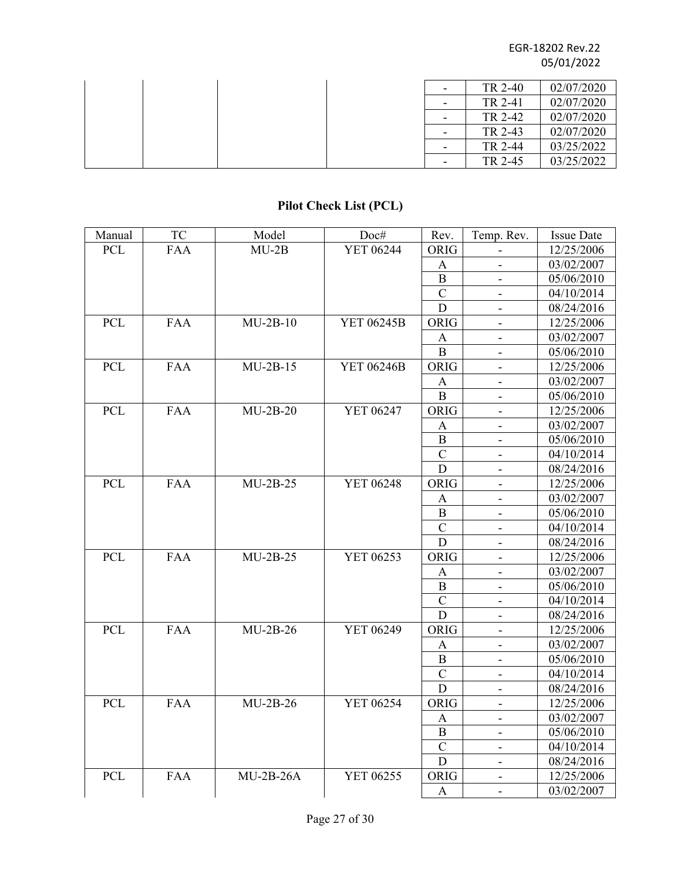|  |  | $\overline{\phantom{a}}$ | TR 2-40 | 02/07/2020 |
|--|--|--------------------------|---------|------------|
|  |  | $\overline{\phantom{0}}$ | TR 2-41 | 02/07/2020 |
|  |  | -                        | TR 2-42 | 02/07/2020 |
|  |  | $\overline{\phantom{0}}$ | TR 2-43 | 02/07/2020 |
|  |  | $\overline{\phantom{0}}$ | TR 2-44 | 03/25/2022 |
|  |  | ٠                        | TR 2-45 | 03/25/2022 |

# **Pilot Check List (PCL)**

| Manual     | <b>TC</b>  | Model       | Doc#              | Rev.           | Temp. Rev.                   | <b>Issue Date</b> |
|------------|------------|-------------|-------------------|----------------|------------------------------|-------------------|
| <b>PCL</b> | <b>FAA</b> | $MU-2B$     | <b>YET 06244</b>  | ORIG           |                              | 12/25/2006        |
|            |            |             |                   | A              | $\overline{\phantom{0}}$     | 03/02/2007        |
|            |            |             |                   | $\bf{B}$       |                              | 05/06/2010        |
|            |            |             |                   | $\overline{C}$ | $\overline{\phantom{a}}$     | 04/10/2014        |
|            |            |             |                   | D              |                              | 08/24/2016        |
| <b>PCL</b> | <b>FAA</b> | $MU-2B-10$  | YET 06245B        | ORIG           |                              | 12/25/2006        |
|            |            |             |                   | $\mathbf{A}$   |                              | 03/02/2007        |
|            |            |             |                   | $\mathbf B$    | $\overline{\phantom{a}}$     | 05/06/2010        |
| PCL        | <b>FAA</b> | $MU-2B-15$  | <b>YET 06246B</b> | <b>ORIG</b>    | $\overline{\phantom{a}}$     | 12/25/2006        |
|            |            |             |                   | A              | $\overline{\phantom{a}}$     | 03/02/2007        |
|            |            |             |                   | B              | $\overline{\phantom{a}}$     | 05/06/2010        |
| <b>PCL</b> | <b>FAA</b> | $MU-2B-20$  | YET 06247         | ORIG           | $\overline{\phantom{a}}$     | 12/25/2006        |
|            |            |             |                   | A              | $\overline{\phantom{a}}$     | 03/02/2007        |
|            |            |             |                   | $\bf{B}$       |                              | 05/06/2010        |
|            |            |             |                   | $\overline{C}$ | $\overline{\phantom{a}}$     | 04/10/2014        |
|            |            |             |                   | D              | $\overline{\phantom{a}}$     | 08/24/2016        |
| <b>PCL</b> | <b>FAA</b> | $MU-2B-25$  | YET 06248         | ORIG           |                              | 12/25/2006        |
|            |            |             |                   | $\mathbf{A}$   |                              | 03/02/2007        |
|            |            |             |                   | $\mathbf B$    |                              | 05/06/2010        |
|            |            |             |                   | $\mathbf C$    | $\overline{\phantom{a}}$     | 04/10/2014        |
|            |            |             |                   | $\mathbf D$    | $\overline{\phantom{a}}$     | 08/24/2016        |
| <b>PCL</b> | <b>FAA</b> | $MU-2B-25$  | YET 06253         | ORIG           | $\overline{\phantom{a}}$     | 12/25/2006        |
|            |            |             |                   | A              | $\overline{\phantom{a}}$     | 03/02/2007        |
|            |            |             |                   | B              | $\overline{\phantom{0}}$     | 05/06/2010        |
|            |            |             |                   | $\mathbf C$    | -                            | 04/10/2014        |
|            |            |             |                   | D              | $\overline{\phantom{a}}$     | 08/24/2016        |
| <b>PCL</b> | <b>FAA</b> | $MU-2B-26$  | YET 06249         | ORIG           | $\overline{\phantom{a}}$     | 12/25/2006        |
|            |            |             |                   | A              |                              | 03/02/2007        |
|            |            |             |                   | $\mathbf B$    |                              | 05/06/2010        |
|            |            |             |                   | $\mathbf C$    |                              | 04/10/2014        |
|            |            |             |                   | D              | $\overline{\phantom{a}}$     | 08/24/2016        |
| <b>PCL</b> | <b>FAA</b> | $MU-2B-26$  | YET 06254         | ORIG           | $\blacksquare$               | 12/25/2006        |
|            |            |             |                   | $\mathbf{A}$   | $\overline{\phantom{a}}$     | 03/02/2007        |
|            |            |             |                   | B              | $\overline{\phantom{a}}$     | 05/06/2010        |
|            |            |             |                   | $\mathbf C$    | $\overline{\phantom{a}}$     | 04/10/2014        |
|            |            |             |                   | $\mathbf D$    | $\overline{\phantom{a}}$     | 08/24/2016        |
| PCL        | <b>FAA</b> | $MU-2B-26A$ | YET 06255         | ORIG           | $\qquad \qquad \blacksquare$ | 12/25/2006        |
|            |            |             |                   | $\mathbf{A}$   | $\blacksquare$               | 03/02/2007        |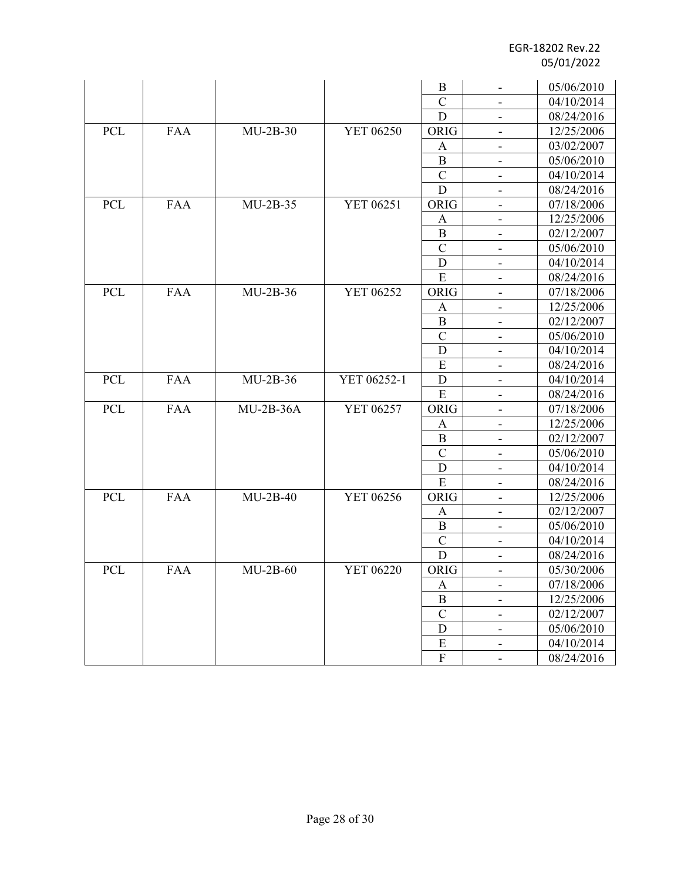|            |            |             |                  | B              |                              | 05/06/2010 |
|------------|------------|-------------|------------------|----------------|------------------------------|------------|
|            |            |             |                  | $\overline{C}$ |                              | 04/10/2014 |
|            |            |             |                  | D              | $\overline{\phantom{a}}$     | 08/24/2016 |
| PCL        | <b>FAA</b> | $MU-2B-30$  | YET 06250        | ORIG           | $\overline{\phantom{a}}$     | 12/25/2006 |
|            |            |             |                  | A              | $\overline{\phantom{a}}$     | 03/02/2007 |
|            |            |             |                  | B              |                              | 05/06/2010 |
|            |            |             |                  | $\mathcal{C}$  | $\blacksquare$               | 04/10/2014 |
|            |            |             |                  | D              | $\overline{\phantom{a}}$     | 08/24/2016 |
| PCL        | <b>FAA</b> | $MU-2B-35$  | YET 06251        | ORIG           | $\overline{\phantom{a}}$     | 07/18/2006 |
|            |            |             |                  | A              | $\overline{\phantom{a}}$     | 12/25/2006 |
|            |            |             |                  | B              | $\overline{\phantom{a}}$     | 02/12/2007 |
|            |            |             |                  | $\mathcal{C}$  | $\overline{\phantom{a}}$     | 05/06/2010 |
|            |            |             |                  | D              | $\overline{\phantom{a}}$     | 04/10/2014 |
|            |            |             |                  | E              | $\qquad \qquad \blacksquare$ | 08/24/2016 |
| <b>PCL</b> | <b>FAA</b> | $MU-2B-36$  | YET 06252        | ORIG           | $\overline{\phantom{a}}$     | 07/18/2006 |
|            |            |             |                  | A              | $\overline{\phantom{a}}$     | 12/25/2006 |
|            |            |             |                  | B              |                              | 02/12/2007 |
|            |            |             |                  | $\mathcal{C}$  | $\overline{\phantom{a}}$     | 05/06/2010 |
|            |            |             |                  | D              | $\blacksquare$               | 04/10/2014 |
|            |            |             |                  | E              | $\overline{\phantom{a}}$     | 08/24/2016 |
| <b>PCL</b> | <b>FAA</b> | $MU-2B-36$  | YET 06252-1      | D              |                              | 04/10/2014 |
|            |            |             |                  | ${\bf E}$      |                              | 08/24/2016 |
| PCL        | <b>FAA</b> | $MU-2B-36A$ | YET 06257        | ORIG           | $\overline{\phantom{a}}$     | 07/18/2006 |
|            |            |             |                  | A              | $\blacksquare$               | 12/25/2006 |
|            |            |             |                  | B              | $\overline{\phantom{a}}$     | 02/12/2007 |
|            |            |             |                  | $\mathbf C$    | $\overline{\phantom{a}}$     | 05/06/2010 |
|            |            |             |                  | D              |                              | 04/10/2014 |
|            |            |             |                  | E              | $\overline{\phantom{a}}$     | 08/24/2016 |
| <b>PCL</b> | <b>FAA</b> | $MU-2B-40$  | YET 06256        | ORIG           | $\overline{\phantom{a}}$     | 12/25/2006 |
|            |            |             |                  | A              | $\qquad \qquad \blacksquare$ | 02/12/2007 |
|            |            |             |                  | B              | $\overline{\phantom{a}}$     | 05/06/2010 |
|            |            |             |                  | $\mathbf C$    | $\overline{\phantom{a}}$     | 04/10/2014 |
|            |            |             |                  | $\mathbf D$    | $\overline{\phantom{a}}$     | 08/24/2016 |
| <b>PCL</b> | <b>FAA</b> | $MU-2B-60$  | <b>YET 06220</b> | ORIG           | $\overline{\phantom{a}}$     | 05/30/2006 |
|            |            |             |                  | A              | $\qquad \qquad \blacksquare$ | 07/18/2006 |
|            |            |             |                  | $\, {\bf B}$   | $\overline{\phantom{a}}$     | 12/25/2006 |
|            |            |             |                  | $\mathcal{C}$  | $\qquad \qquad \blacksquare$ | 02/12/2007 |
|            |            |             |                  | D              | $\qquad \qquad \blacksquare$ | 05/06/2010 |
|            |            |             |                  | ${\bf E}$      | -                            | 04/10/2014 |
|            |            |             |                  | $\rm F$        | $\frac{1}{2}$                | 08/24/2016 |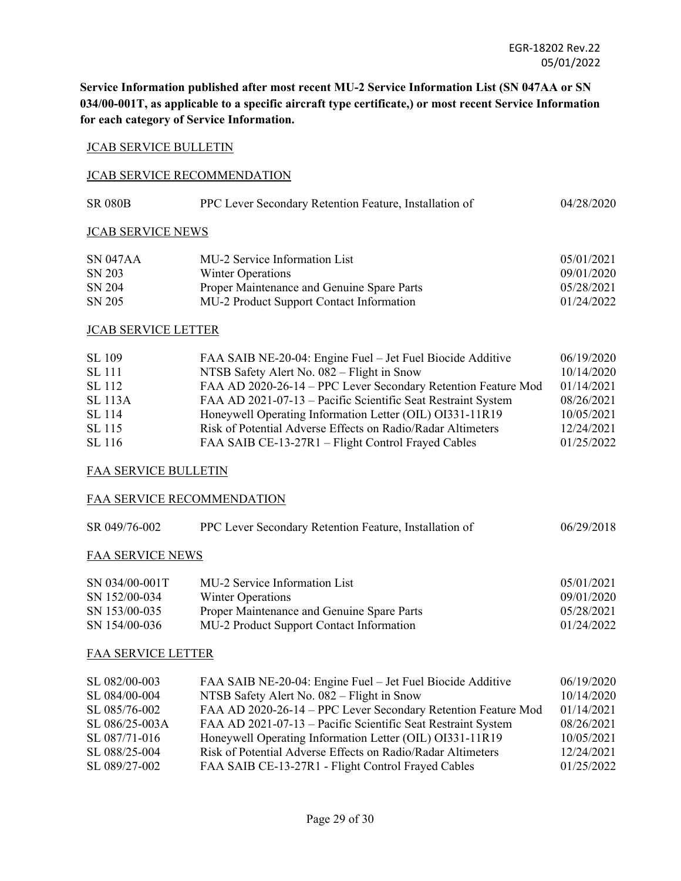**Service Information published after most recent MU-2 Service Information List (SN 047AA or SN 034/00-001T, as applicable to a specific aircraft type certificate,) or most recent Service Information for each category of Service Information.** 

#### JCAB SERVICE BULLETIN

#### JCAB SERVICE RECOMMENDATION

| <b>SR 080B</b> | PPC Lever Secondary Retention Feature, Installation of | 04/28/2020 |
|----------------|--------------------------------------------------------|------------|
|----------------|--------------------------------------------------------|------------|

## JCAB SERVICE NEWS

| SN 047AA | MU-2 Service Information List              | 05/01/2021 |
|----------|--------------------------------------------|------------|
| SN 203   | Winter Operations                          | 09/01/2020 |
| SN 204   | Proper Maintenance and Genuine Spare Parts | 05/28/2021 |
| SN 205   | MU-2 Product Support Contact Information   | 01/24/2022 |

## JCAB SERVICE LETTER

| SL 109         | FAA SAIB NE-20-04: Engine Fuel – Jet Fuel Biocide Additive    | 06/19/2020 |
|----------------|---------------------------------------------------------------|------------|
| <b>SL</b> 111  | NTSB Safety Alert No. 082 – Flight in Snow                    | 10/14/2020 |
| SL 112         | FAA AD 2020-26-14 - PPC Lever Secondary Retention Feature Mod | 01/14/2021 |
| <b>SL</b> 113A | FAA AD 2021-07-13 – Pacific Scientific Seat Restraint System  | 08/26/2021 |
| SL 114         | Honeywell Operating Information Letter (OIL) OI331-11R19      | 10/05/2021 |
| SL 115         | Risk of Potential Adverse Effects on Radio/Radar Altimeters   | 12/24/2021 |
| SL 116         | FAA SAIB CE-13-27R1 – Flight Control Frayed Cables            | 01/25/2022 |

#### FAA SERVICE BULLETIN

#### FAA SERVICE RECOMMENDATION

| SR 049/76-002           | PPC Lever Secondary Retention Feature, Installation of | 06/29/2018 |
|-------------------------|--------------------------------------------------------|------------|
| <b>FAA SERVICE NEWS</b> |                                                        |            |
| SN 034/00-001T          | MU-2 Service Information List                          | 05/01/2021 |
| SN 152/00-034           | Winter Operations                                      | 09/01/2020 |
| SN 153/00-035           | Proper Maintenance and Genuine Spare Parts             | 05/28/2021 |
| SN 154/00-036           | MU-2 Product Support Contact Information               | 01/24/2022 |

#### FAA SERVICE LETTER

| SL 082/00-003  | FAA SAIB NE-20-04: Engine Fuel – Jet Fuel Biocide Additive    | 06/19/2020 |
|----------------|---------------------------------------------------------------|------------|
| SL 084/00-004  | NTSB Safety Alert No. 082 – Flight in Snow                    | 10/14/2020 |
| SL 085/76-002  | FAA AD 2020-26-14 - PPC Lever Secondary Retention Feature Mod | 01/14/2021 |
| SL 086/25-003A | FAA AD 2021-07-13 – Pacific Scientific Seat Restraint System  | 08/26/2021 |
| SL 087/71-016  | Honeywell Operating Information Letter (OIL) OI331-11R19      | 10/05/2021 |
| SL 088/25-004  | Risk of Potential Adverse Effects on Radio/Radar Altimeters   | 12/24/2021 |
| SL 089/27-002  | FAA SAIB CE-13-27R1 - Flight Control Frayed Cables            | 01/25/2022 |